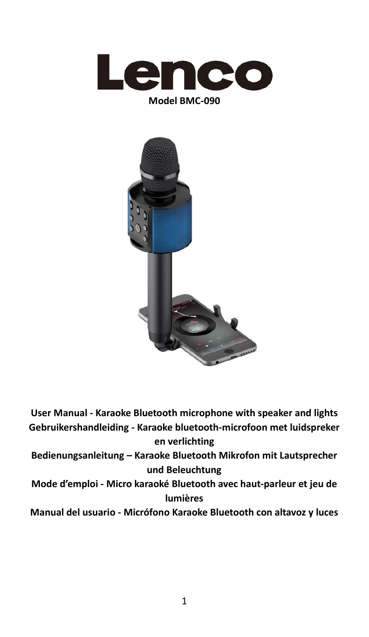



**User Manual - Karaoke Bluetooth microphone with speaker and lights Gebruikershandleiding - Karaoke bluetooth-microfoon met luidspreker en verlichting Bedienungsanleitung – Karaoke Bluetooth Mikrofon mit Lautsprecher und Beleuchtung Mode d'emploi - Micro karaoké Bluetooth avec haut-parleur et jeu de lumières**

**Manual del usuario - Micrófono Karaoke Bluetooth con altavoz y luces**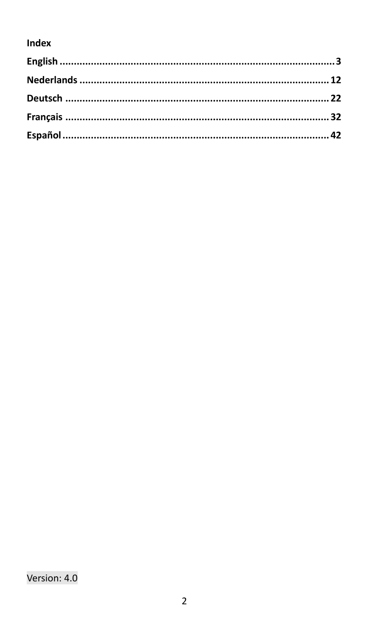### Index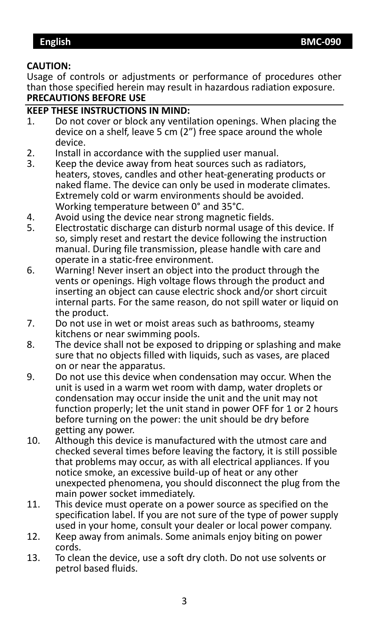#### <span id="page-2-0"></span>**CAUTION:**

Usage of controls or adjustments or performance of procedures other than those specified herein may result in hazardous radiation exposure. **PRECAUTIONS BEFORE USE**

#### **KEEP THESE INSTRUCTIONS IN MIND:**

- 1. Do not cover or block any ventilation openings. When placing the device on a shelf, leave 5 cm (2") free space around the whole device.
- 2. Install in accordance with the supplied user manual.<br>3. Keep the device away from heat sources such as rad
- Keep the device away from heat sources such as radiators, heaters, stoves, candles and other heat-generating products or naked flame. The device can only be used in moderate climates. Extremely cold or warm environments should be avoided. Working temperature between 0° and 35°C.
- 4. Avoid using the device near strong magnetic fields.<br>5. Electrostatic discharge can disturb normal usage of
- 5. Electrostatic discharge can disturb normal usage of this device. If so, simply reset and restart the device following the instruction manual. During file transmission, please handle with care and operate in a static-free environment.
- 6. Warning! Never insert an object into the product through the vents or openings. High voltage flows through the product and inserting an object can cause electric shock and/or short circuit internal parts. For the same reason, do not spill water or liquid on the product.
- 7. Do not use in wet or moist areas such as bathrooms, steamy kitchens or near swimming pools.
- 8. The device shall not be exposed to dripping or splashing and make sure that no objects filled with liquids, such as vases, are placed on or near the apparatus.
- 9. Do not use this device when condensation may occur. When the unit is used in a warm wet room with damp, water droplets or condensation may occur inside the unit and the unit may not function properly; let the unit stand in power OFF for 1 or 2 hours before turning on the power: the unit should be dry before getting any power.
- 10. Although this device is manufactured with the utmost care and checked several times before leaving the factory, it is still possible that problems may occur, as with all electrical appliances. If you notice smoke, an excessive build-up of heat or any other unexpected phenomena, you should disconnect the plug from the main power socket immediately.
- 11. This device must operate on a power source as specified on the specification label. If you are not sure of the type of power supply used in your home, consult your dealer or local power company.
- 12. Keep away from animals. Some animals enjoy biting on power cords.
- 13. To clean the device, use a soft dry cloth. Do not use solvents or petrol based fluids.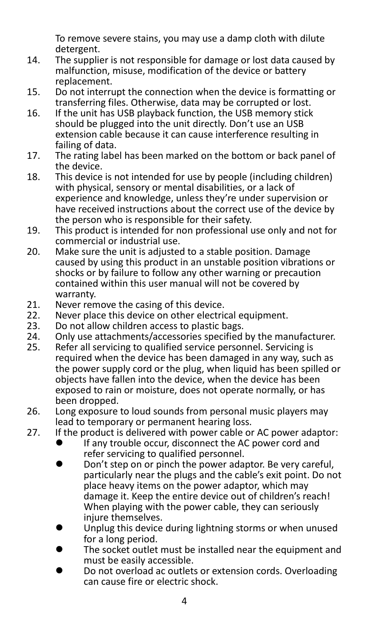To remove severe stains, you may use a damp cloth with dilute detergent.

- 14. The supplier is not responsible for damage or lost data caused by malfunction, misuse, modification of the device or battery replacement.
- 15. Do not interrupt the connection when the device is formatting or transferring files. Otherwise, data may be corrupted or lost.
- 16. If the unit has USB playback function, the USB memory stick should be plugged into the unit directly. Don't use an USB extension cable because it can cause interference resulting in failing of data.
- 17. The rating label has been marked on the bottom or back panel of the device.
- 18. This device is not intended for use by people (including children) with physical, sensory or mental disabilities, or a lack of experience and knowledge, unless they're under supervision or have received instructions about the correct use of the device by the person who is responsible for their safety.
- 19. This product is intended for non professional use only and not for commercial or industrial use.
- 20. Make sure the unit is adjusted to a stable position. Damage caused by using this product in an unstable position vibrations or shocks or by failure to follow any other warning or precaution contained within this user manual will not be covered by warranty.
- 21. Never remove the casing of this device.<br>22. Never place this device on other electric
- 22. Never place this device on other electrical equipment.<br>23. Do not allow children access to plastic bags.
- 23. Do not allow children access to plastic bags.<br>24. Only use attachments/accessories specified
- 24. Only use attachments/accessories specified by the manufacturer.<br>25. Refer all servicing to qualified service personnel. Servicing is
- Refer all servicing to qualified service personnel. Servicing is required when the device has been damaged in any way, such as the power supply cord or the plug, when liquid has been spilled or objects have fallen into the device, when the device has been exposed to rain or moisture, does not operate normally, or has been dropped.
- 26. Long exposure to loud sounds from personal music players may lead to temporary or permanent hearing loss.
- 27. If the product is delivered with power cable or AC power adaptor:<br> $\bullet$  If any trouble occur disconnect the AC power cord and
	- If any trouble occur, disconnect the AC power cord and refer servicing to qualified personnel.
	- ⚫ Don't step on or pinch the power adaptor. Be very careful, particularly near the plugs and the cable's exit point. Do not place heavy items on the power adaptor, which may damage it. Keep the entire device out of children's reach! When playing with the power cable, they can seriously injure themselves.
	- Unplug this device during lightning storms or when unused for a long period.
	- The socket outlet must be installed near the equipment and must be easily accessible.
	- ⚫ Do not overload ac outlets or extension cords. Overloading can cause fire or electric shock.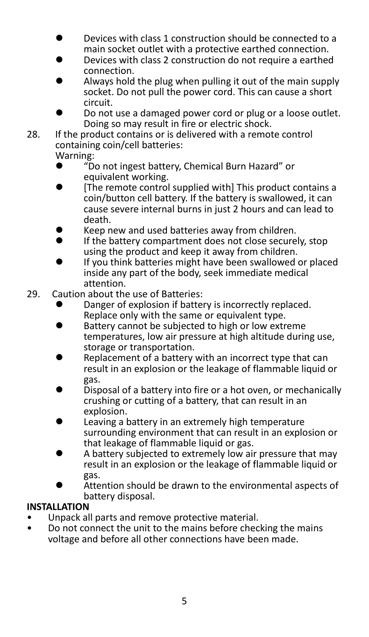- ⚫ Devices with class 1 construction should be connected to a main socket outlet with a protective earthed connection.
- ⚫ Devices with class 2 construction do not require a earthed connection.
- ⚫ Always hold the plug when pulling it out of the main supply socket. Do not pull the power cord. This can cause a short circuit.
- ⚫ Do not use a damaged power cord or plug or a loose outlet. Doing so may result in fire or electric shock.
- 28. If the product contains or is delivered with a remote control containing coin/cell batteries:

# Warning:<br>
• ‴D

- ⚫ "Do not ingest battery, Chemical Burn Hazard" or equivalent working.
- ⚫ [The remote control supplied with] This product contains a coin/button cell battery. If the battery is swallowed, it can cause severe internal burns in just 2 hours and can lead to death.
- Keep new and used batteries away from children.<br>● If the battery compartment does not close secure
- ⚫ If the battery compartment does not close securely, stop using the product and keep it away from children.
- ⚫ If you think batteries might have been swallowed or placed inside any part of the body, seek immediate medical attention.
- 29. Caution about the use of Batteries:
	- ⚫ Danger of explosion if battery is incorrectly replaced. Replace only with the same or equivalent type.
	- ⚫ Battery cannot be subjected to high or low extreme temperatures, low air pressure at high altitude during use, storage or transportation.
	- ⚫ Replacement of a battery with an incorrect type that can result in an explosion or the leakage of flammable liquid or gas.
	- Disposal of a battery into fire or a hot oven, or mechanically crushing or cutting of a battery, that can result in an explosion.
	- ⚫ Leaving a battery in an extremely high temperature surrounding environment that can result in an explosion or that leakage of flammable liquid or gas.
	- ⚫ A battery subjected to extremely low air pressure that may result in an explosion or the leakage of flammable liquid or gas.
	- Attention should be drawn to the environmental aspects of battery disposal.

### **INSTALLATION**

- Unpack all parts and remove protective material.
- Do not connect the unit to the mains before checking the mains voltage and before all other connections have been made.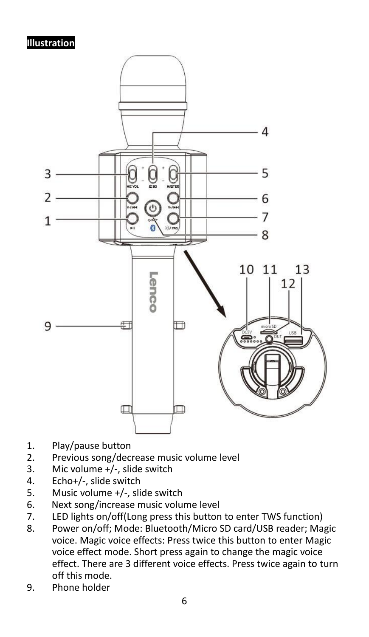#### **Illustration**



- 1. Play/pause button
- 2. Previous song/decrease music volume level<br>3. Mic volume +/-, slide switch
- Mic volume +/-, slide switch
- 4. Echo+/-, slide switch
- 5. Music volume +/-, slide switch
- 6. Next song/increase music volume level
- 7. LED lights on/off(Long press this button to enter TWS function)
- 8. Power on/off; Mode: Bluetooth/Micro SD card/USB reader; Magic voice. Magic voice effects: Press twice this button to enter Magic voice effect mode. Short press again to change the magic voice effect. There are 3 different voice effects. Press twice again to turn off this mode.
- 9. Phone holder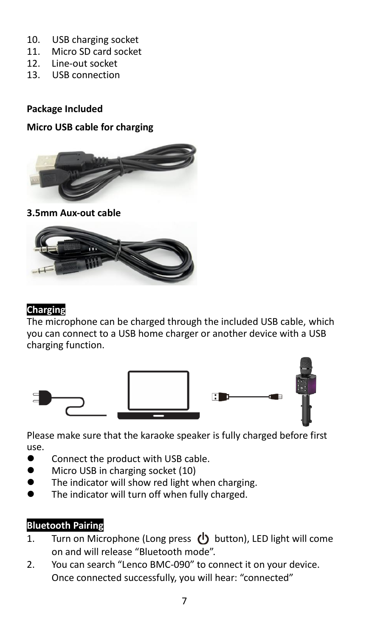- 10. USB charging socket
- 11. Micro SD card socket<br>12. Line-out socket
- 12. Line-out socket
- 13. USB connection

#### **Package Included**

#### **Micro USB cable for charging**



**3.5mm Aux-out cable**



#### **Charging**

The microphone can be charged through the included USB cable, which you can connect to a USB home charger or another device with a USB charging function.



Please make sure that the karaoke speaker is fully charged before first use.

- ⚫ Connect the product with USB cable.
- Micro USB in charging socket (10)
- The indicator will show red light when charging.
- The indicator will turn off when fully charged.

#### **Bluetooth Pairing**

- 1. Turn on Microphone (Long press  $\bigcup$  button), LED light will come on and will release "Bluetooth mode".
- 2. You can search "Lenco BMC-090" to connect it on your device. Once connected successfully, you will hear: "connected"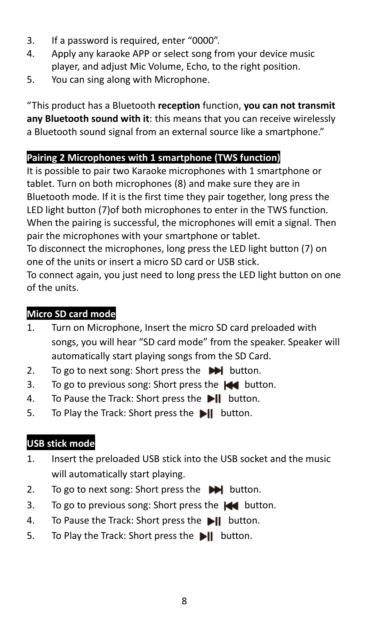- 3. If a password is required, enter "0000".
- 4. Apply any karaoke APP or select song from your device music player, and adjust Mic Volume, Echo, to the right position.
- 5. You can sing along with Microphone.

"This product has a Bluetooth **reception** function, **you can not transmit any Bluetooth sound with it**: this means that you can receive wirelessly a Bluetooth sound signal from an external source like a smartphone."

# **Pairing 2 Microphones with 1 smartphone (TWS function)**

It is possible to pair two Karaoke microphones with 1 smartphone or tablet. Turn on both microphones (8) and make sure they are in Bluetooth mode. If it is the first time they pair together, long press the LED light button (7)of both microphones to enter in the TWS function. When the pairing is successful, the microphones will emit a signal. Then pair the microphones with your smartphone or tablet.

To disconnect the microphones, long press the LED light button (7) on one of the units or insert a micro SD card or USB stick.

To connect again, you just need to long press the LED light button on one of the units.

# **Micro SD card mode**

- 1. Turn on Microphone, Insert the micro SD card preloaded with songs, you will hear "SD card mode" from the speaker. Speaker will automatically start playing songs from the SD Card.
- 2. To go to next song: Short press the  $\blacktriangleright$  button.
- 3. To go to previous song: Short press the  $\blacktriangleleft$  button.
- 4. To Pause the Track: Short press the **Di** button.
- 5. To Play the Track: Short press the **bill** button.

# **USB stick mode**

- 1. Insert the preloaded USB stick into the USB socket and the music will automatically start playing.
- 2. To go to next song: Short press the  $\blacktriangleright$  button.
- 3. To go to previous song: Short press the  $\blacktriangleleft$  button.
- 4. To Pause the Track: Short press the **bill** button.
- 5. To Play the Track: Short press the **bill** button.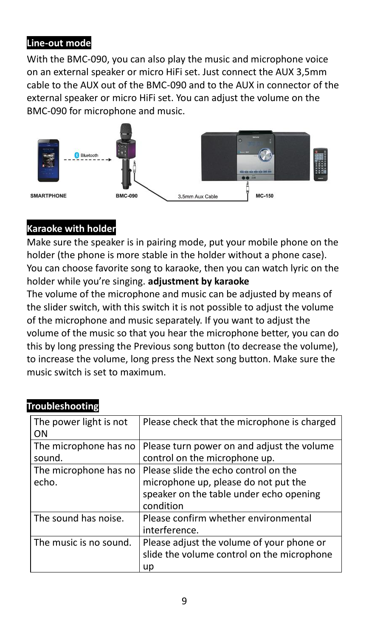#### **Line-out mode**

With the BMC-090, you can also play the music and microphone voice on an external speaker or micro HiFi set. Just connect the AUX 3,5mm cable to the AUX out of the BMC-090 and to the AUX in connector of the external speaker or micro HiFi set. You can adjust the volume on the BMC-090 for microphone and music.



### **Karaoke with holder**

Make sure the speaker is in pairing mode, put your mobile phone on the holder (the phone is more stable in the holder without a phone case). You can choose favorite song to karaoke, then you can watch lyric on the holder while you're singing. **adjustment by karaoke**

The volume of the microphone and music can be adjusted by means of the slider switch, with this switch it is not possible to adjust the volume of the microphone and music separately. If you want to adjust the volume of the music so that you hear the microphone better, you can do this by long pressing the Previous song button (to decrease the volume), to increase the volume, long press the Next song button. Make sure the music switch is set to maximum.

| The power light is not<br>ΟN    | Please check that the microphone is charged                                                                                          |
|---------------------------------|--------------------------------------------------------------------------------------------------------------------------------------|
| The microphone has no<br>sound. | Please turn power on and adjust the volume<br>control on the microphone up.                                                          |
| The microphone has no<br>echo.  | Please slide the echo control on the<br>microphone up, please do not put the<br>speaker on the table under echo opening<br>condition |
| The sound has noise.            | Please confirm whether environmental<br>interference.                                                                                |
| The music is no sound.          | Please adjust the volume of your phone or<br>slide the volume control on the microphone<br>up                                        |

### **Troubleshooting**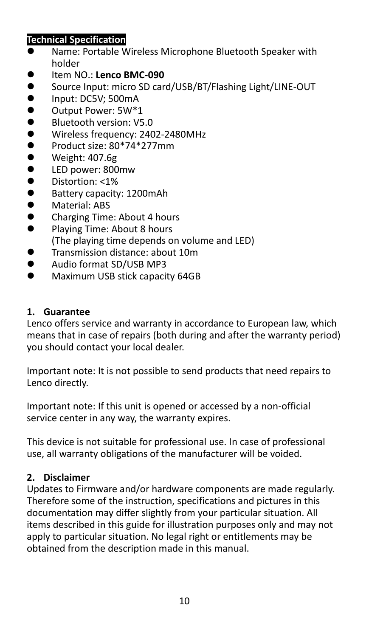### **Technical Specification**

- ⚫ Name: Portable Wireless Microphone Bluetooth Speaker with holder
- ⚫ Item NO.: **Lenco BMC-090**
- Source Input: micro SD card/USB/BT/Flashing Light/LINE-OUT<br>● lpput: DC5V: 500mA
- Input: DC5V; 500mA<br>● Output Power: 5W\*1
- ⚫ Output Power: 5W\*1
- Bluetooth version: V5.0<br>● Wireless frequency: 240
- Wireless frequency: 2402-2480MHz<br>● Product size: 80\*74\*277mm
- Product size:  $80*74*277$ mm
- Weight: 407.6g<br>● LED nower: 800
- ⚫ LED power: 800mw
- Distortion: <1%<br>● Battery canacity
- ⚫ Battery capacity: 1200mAh
- ⚫ Material: ABS
- Charging Time: About 4 hours<br>● Playing Time: About 8 hours
- ⚫ Playing Time: About 8 hours (The playing time depends on volume and LED)
- Transmission distance: about 10m
- ⚫ Audio format SD/USB MP3
- Maximum USB stick capacity 64GB

#### **1. Guarantee**

Lenco offers service and warranty in accordance to European law, which means that in case of repairs (both during and after the warranty period) you should contact your local dealer.

Important note: It is not possible to send products that need repairs to Lenco directly.

Important note: If this unit is opened or accessed by a non-official service center in any way, the warranty expires.

This device is not suitable for professional use. In case of professional use, all warranty obligations of the manufacturer will be voided.

### **2. Disclaimer**

Updates to Firmware and/or hardware components are made regularly. Therefore some of the instruction, specifications and pictures in this documentation may differ slightly from your particular situation. All items described in this guide for illustration purposes only and may not apply to particular situation. No legal right or entitlements may be obtained from the description made in this manual.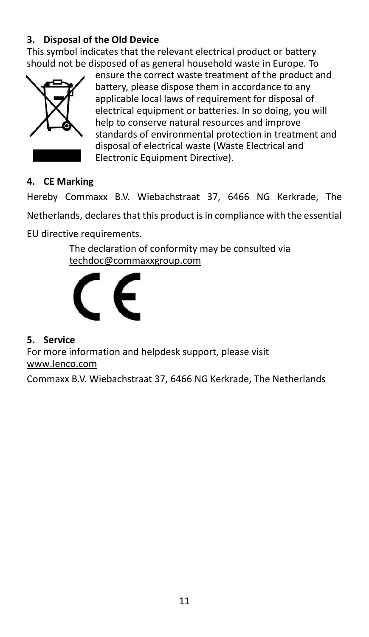# **3. Disposal of the Old Device**

This symbol indicates that the relevant electrical product or battery should not be disposed of as general household waste in Europe. To



ensure the correct waste treatment of the product and battery, please dispose them in accordance to any applicable local laws of requirement for disposal of electrical equipment or batteries. In so doing, you will help to conserve natural resources and improve standards of environmental protection in treatment and disposal of electrical waste (Waste Electrical and Electronic Equipment Directive).

#### **4. CE Marking**

Hereby Commaxx B.V. Wiebachstraat 37, 6466 NG Kerkrade, The Netherlands, declares that this product is in compliance with the essential

EU directive requirements.

The declaration of conformity may be consulted via [techdoc@commaxxgroup.com](mailto:techdoc@commaxxgroup.com)



#### **5. Service**

For more information and helpdesk support, please visit [www.lenco.com](http://www.lenco.com/)

Commaxx B.V. Wiebachstraat 37, 6466 NG Kerkrade, The Netherlands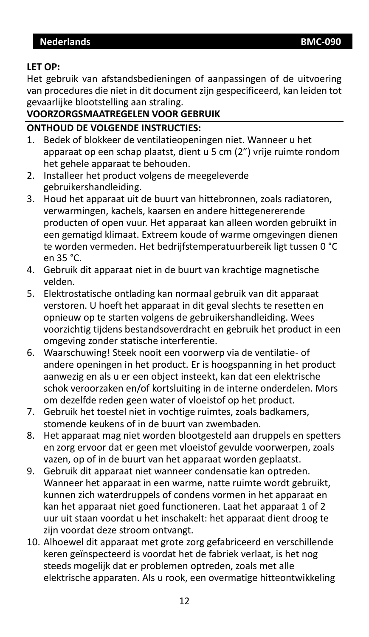### <span id="page-11-0"></span>**LET OP:**

Het gebruik van afstandsbedieningen of aanpassingen of de uitvoering van procedures die niet in dit document zijn gespecificeerd, kan leiden tot gevaarlijke blootstelling aan straling.

# **VOORZORGSMAATREGELEN VOOR GEBRUIK**

#### **ONTHOUD DE VOLGENDE INSTRUCTIES:**

- 1. Bedek of blokkeer de ventilatieopeningen niet. Wanneer u het apparaat op een schap plaatst, dient u 5 cm (2") vrije ruimte rondom het gehele apparaat te behouden.
- 2. Installeer het product volgens de meegeleverde gebruikershandleiding.
- 3. Houd het apparaat uit de buurt van hittebronnen, zoals radiatoren, verwarmingen, kachels, kaarsen en andere hittegenererende producten of open vuur. Het apparaat kan alleen worden gebruikt in een gematigd klimaat. Extreem koude of warme omgevingen dienen te worden vermeden. Het bedrijfstemperatuurbereik ligt tussen 0 °C en 35 °C.
- 4. Gebruik dit apparaat niet in de buurt van krachtige magnetische velden.
- 5. Elektrostatische ontlading kan normaal gebruik van dit apparaat verstoren. U hoeft het apparaat in dit geval slechts te resetten en opnieuw op te starten volgens de gebruikershandleiding. Wees voorzichtig tijdens bestandsoverdracht en gebruik het product in een omgeving zonder statische interferentie.
- 6. Waarschuwing! Steek nooit een voorwerp via de ventilatie- of andere openingen in het product. Er is hoogspanning in het product aanwezig en als u er een object insteekt, kan dat een elektrische schok veroorzaken en/of kortsluiting in de interne onderdelen. Mors om dezelfde reden geen water of vloeistof op het product.
- 7. Gebruik het toestel niet in vochtige ruimtes, zoals badkamers, stomende keukens of in de buurt van zwembaden.
- 8. Het apparaat mag niet worden blootgesteld aan druppels en spetters en zorg ervoor dat er geen met vloeistof gevulde voorwerpen, zoals vazen, op of in de buurt van het apparaat worden geplaatst.
- 9. Gebruik dit apparaat niet wanneer condensatie kan optreden. Wanneer het apparaat in een warme, natte ruimte wordt gebruikt, kunnen zich waterdruppels of condens vormen in het apparaat en kan het apparaat niet goed functioneren. Laat het apparaat 1 of 2 uur uit staan voordat u het inschakelt: het apparaat dient droog te zijn voordat deze stroom ontvangt.
- 10. Alhoewel dit apparaat met grote zorg gefabriceerd en verschillende keren geïnspecteerd is voordat het de fabriek verlaat, is het nog steeds mogelijk dat er problemen optreden, zoals met alle elektrische apparaten. Als u rook, een overmatige hitteontwikkeling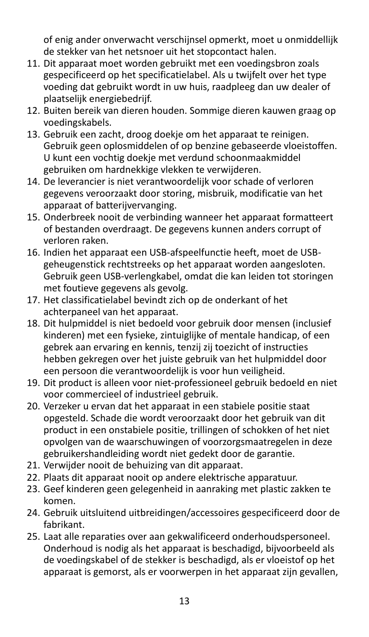of enig ander onverwacht verschijnsel opmerkt, moet u onmiddellijk de stekker van het netsnoer uit het stopcontact halen.

- 11. Dit apparaat moet worden gebruikt met een voedingsbron zoals gespecificeerd op het specificatielabel. Als u twijfelt over het type voeding dat gebruikt wordt in uw huis, raadpleeg dan uw dealer of plaatselijk energiebedrijf.
- 12. Buiten bereik van dieren houden. Sommige dieren kauwen graag op voedingskabels.
- 13. Gebruik een zacht, droog doekje om het apparaat te reinigen. Gebruik geen oplosmiddelen of op benzine gebaseerde vloeistoffen. U kunt een vochtig doekje met verdund schoonmaakmiddel gebruiken om hardnekkige vlekken te verwijderen.
- 14. De leverancier is niet verantwoordelijk voor schade of verloren gegevens veroorzaakt door storing, misbruik, modificatie van het apparaat of batterijvervanging.
- 15. Onderbreek nooit de verbinding wanneer het apparaat formatteert of bestanden overdraagt. De gegevens kunnen anders corrupt of verloren raken.
- 16. Indien het apparaat een USB-afspeelfunctie heeft, moet de USBgeheugenstick rechtstreeks op het apparaat worden aangesloten. Gebruik geen USB-verlengkabel, omdat die kan leiden tot storingen met foutieve gegevens als gevolg.
- 17. Het classificatielabel bevindt zich op de onderkant of het achterpaneel van het apparaat.
- 18. Dit hulpmiddel is niet bedoeld voor gebruik door mensen (inclusief kinderen) met een fysieke, zintuiglijke of mentale handicap, of een gebrek aan ervaring en kennis, tenzij zij toezicht of instructies hebben gekregen over het juiste gebruik van het hulpmiddel door een persoon die verantwoordelijk is voor hun veiligheid.
- 19. Dit product is alleen voor niet-professioneel gebruik bedoeld en niet voor commercieel of industrieel gebruik.
- 20. Verzeker u ervan dat het apparaat in een stabiele positie staat opgesteld. Schade die wordt veroorzaakt door het gebruik van dit product in een onstabiele positie, trillingen of schokken of het niet opvolgen van de waarschuwingen of voorzorgsmaatregelen in deze gebruikershandleiding wordt niet gedekt door de garantie.
- 21. Verwijder nooit de behuizing van dit apparaat.
- 22. Plaats dit apparaat nooit op andere elektrische apparatuur.
- 23. Geef kinderen geen gelegenheid in aanraking met plastic zakken te komen.
- 24. Gebruik uitsluitend uitbreidingen/accessoires gespecificeerd door de fabrikant.
- 25. Laat alle reparaties over aan gekwalificeerd onderhoudspersoneel. Onderhoud is nodig als het apparaat is beschadigd, bijvoorbeeld als de voedingskabel of de stekker is beschadigd, als er vloeistof op het apparaat is gemorst, als er voorwerpen in het apparaat zijn gevallen,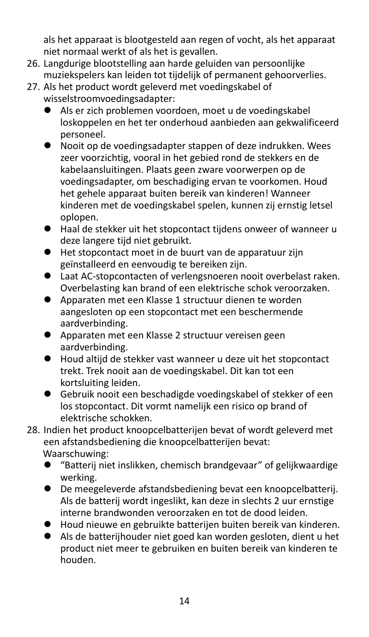als het apparaat is blootgesteld aan regen of vocht, als het apparaat niet normaal werkt of als het is gevallen.

- 26. Langdurige blootstelling aan harde geluiden van persoonlijke muziekspelers kan leiden tot tijdelijk of permanent gehoorverlies.
- 27. Als het product wordt geleverd met voedingskabel of wisselstroomvoedingsadapter:
	- ⚫ Als er zich problemen voordoen, moet u de voedingskabel loskoppelen en het ter onderhoud aanbieden aan gekwalificeerd personeel.
	- Nooit op de voedingsadapter stappen of deze indrukken. Wees zeer voorzichtig, vooral in het gebied rond de stekkers en de kabelaansluitingen. Plaats geen zware voorwerpen op de voedingsadapter, om beschadiging ervan te voorkomen. Houd het gehele apparaat buiten bereik van kinderen! Wanneer kinderen met de voedingskabel spelen, kunnen zij ernstig letsel oplopen.
	- Haal de stekker uit het stopcontact tijdens onweer of wanneer u deze langere tijd niet gebruikt.
	- ⚫ Het stopcontact moet in de buurt van de apparatuur zijn geïnstalleerd en eenvoudig te bereiken zijn.
	- Laat AC-stopcontacten of verlengsnoeren nooit overbelast raken. Overbelasting kan brand of een elektrische schok veroorzaken.
	- ⚫ Apparaten met een Klasse 1 structuur dienen te worden aangesloten op een stopcontact met een beschermende aardverbinding.
	- ⚫ Apparaten met een Klasse 2 structuur vereisen geen aardverbinding.
	- Houd altiid de stekker vast wanneer u deze uit het stopcontact trekt. Trek nooit aan de voedingskabel. Dit kan tot een kortsluiting leiden.
	- Gebruik nooit een beschadigde voedingskabel of stekker of een los stopcontact. Dit vormt namelijk een risico op brand of elektrische schokken.
- 28. Indien het product knoopcelbatterijen bevat of wordt geleverd met een afstandsbediening die knoopcelbatterijen bevat: Waarschuwing:
	- "Batterij niet inslikken, chemisch brandgevaar" of gelijkwaardige werking.
	- ⚫ De meegeleverde afstandsbediening bevat een knoopcelbatterij. Als de batterij wordt ingeslikt, kan deze in slechts 2 uur ernstige interne brandwonden veroorzaken en tot de dood leiden.
	- ⚫ Houd nieuwe en gebruikte batterijen buiten bereik van kinderen.
	- ⚫ Als de batterijhouder niet goed kan worden gesloten, dient u het product niet meer te gebruiken en buiten bereik van kinderen te houden.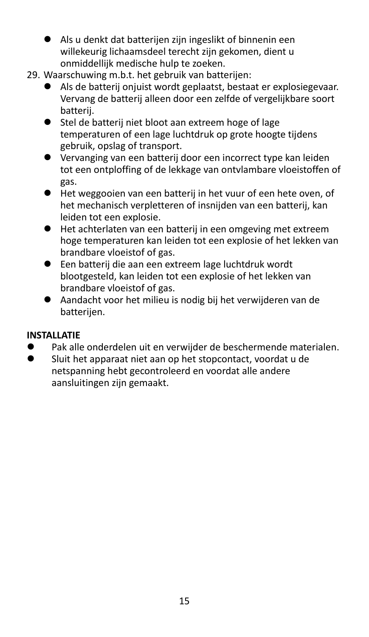- ⚫ Als u denkt dat batterijen zijn ingeslikt of binnenin een willekeurig lichaamsdeel terecht zijn gekomen, dient u onmiddellijk medische hulp te zoeken.
- 29. Waarschuwing m.b.t. het gebruik van batterijen:
	- ⚫ Als de batterij onjuist wordt geplaatst, bestaat er explosiegevaar. Vervang de batterij alleen door een zelfde of vergelijkbare soort batterij.
	- Stel de batterij niet bloot aan extreem hoge of lage temperaturen of een lage luchtdruk op grote hoogte tijdens gebruik, opslag of transport.
	- ⚫ Vervanging van een batterij door een incorrect type kan leiden tot een ontploffing of de lekkage van ontvlambare vloeistoffen of gas.
	- ⚫ Het weggooien van een batterij in het vuur of een hete oven, of het mechanisch verpletteren of insnijden van een batterij, kan leiden tot een explosie.
	- ⚫ Het achterlaten van een batterij in een omgeving met extreem hoge temperaturen kan leiden tot een explosie of het lekken van brandbare vloeistof of gas.
	- ⚫ Een batterij die aan een extreem lage luchtdruk wordt blootgesteld, kan leiden tot een explosie of het lekken van brandbare vloeistof of gas.
	- ⚫ Aandacht voor het milieu is nodig bij het verwijderen van de batterijen.

### **INSTALLATIE**

- Pak alle onderdelen uit en verwijder de beschermende materialen.
- ⚫ Sluit het apparaat niet aan op het stopcontact, voordat u de netspanning hebt gecontroleerd en voordat alle andere aansluitingen zijn gemaakt.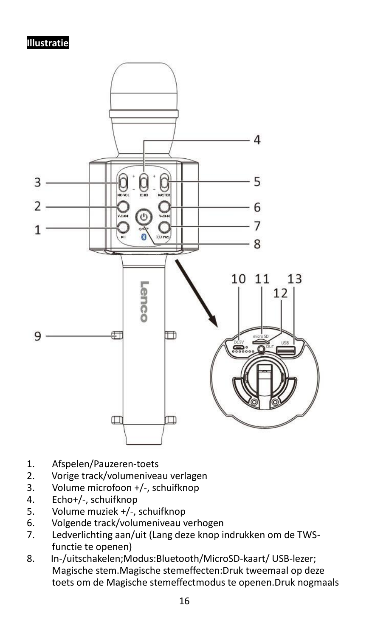#### **Illustratie**



- 1. Afspelen/Pauzeren-toets
- 2. Vorige track/volumeniveau verlagen<br>3. Volume microfoon +/-. schuifknop
- 3. Volume microfoon +/-, schuifknop
- 4. Echo+/-, schuifknop
- 5. Volume muziek +/-, schuifknop<br>6. Volgende track/volumeniveau v
- 6. Volgende track/volumeniveau verhogen<br>7. Ledverlichting aan/uit (Lang deze knop i
- Ledverlichting aan/uit (Lang deze knop indrukken om de TWSfunctie te openen)
- 8. In-/uitschakelen;Modus:Bluetooth/MicroSD-kaart/ USB-lezer; Magische stem.Magische stemeffecten:Druk tweemaal op deze toets om de Magische stemeffectmodus te openen.Druk nogmaals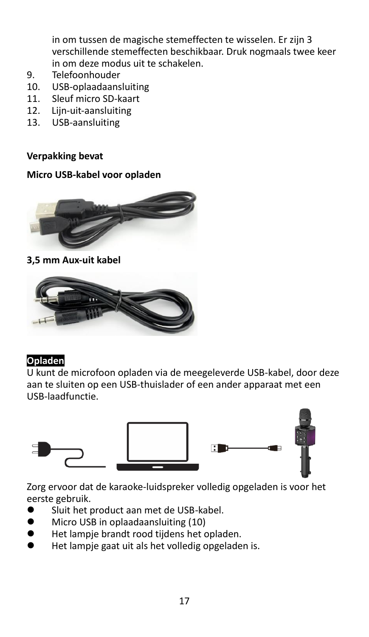in om tussen de magische stemeffecten te wisselen. Er zijn 3 verschillende stemeffecten beschikbaar. Druk nogmaals twee keer in om deze modus uit te schakelen.

- 9. Telefoonhouder
- 10. USB-oplaadaansluiting<br>11. Sleuf micro SD-kaart
- 11. Sleuf micro SD-kaart<br>12. Liin-uit-aansluiting
- Liin-uit-aansluiting
- 13. USB-aansluiting

**Verpakking bevat**

#### **Micro USB-kabel voor opladen**



#### **3,5 mm Aux-uit kabel**



#### **Opladen**

U kunt de microfoon opladen via de meegeleverde USB-kabel, door deze aan te sluiten op een USB-thuislader of een ander apparaat met een USB-laadfunctie.



Zorg ervoor dat de karaoke-luidspreker volledig opgeladen is voor het eerste gebruik.

- Sluit het product aan met de USB-kabel.
- ⚫ Micro USB in oplaadaansluiting (10)
- ⚫ Het lampje brandt rood tijdens het opladen.
- ⚫ Het lampje gaat uit als het volledig opgeladen is.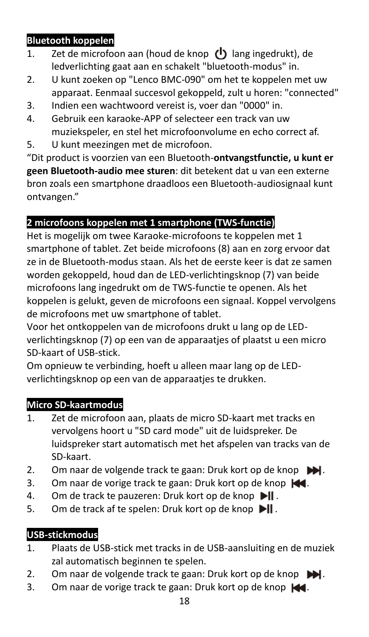# **Bluetooth koppelen**

- 1. Zet de microfoon aan (houd de knop  $\left(\mathbf{I}\right)$  lang ingedrukt), de ledverlichting gaat aan en schakelt "bluetooth-modus" in.
- 2. U kunt zoeken op "Lenco BMC-090" om het te koppelen met uw apparaat. Eenmaal succesvol gekoppeld, zult u horen: "connected"
- 3. Indien een wachtwoord vereist is, voer dan "0000" in.
- 4. Gebruik een karaoke-APP of selecteer een track van uw muziekspeler, en stel het microfoonvolume en echo correct af.
- 5. U kunt meezingen met de microfoon.

"Dit product is voorzien van een Bluetooth-**ontvangstfunctie, u kunt er geen Bluetooth-audio mee sturen**: dit betekent dat u van een externe bron zoals een smartphone draadloos een Bluetooth-audiosignaal kunt ontvangen."

# **2 microfoons koppelen met 1 smartphone (TWS-functie)**

Het is mogelijk om twee Karaoke-microfoons te koppelen met 1 smartphone of tablet. Zet beide microfoons (8) aan en zorg ervoor dat ze in de Bluetooth-modus staan. Als het de eerste keer is dat ze samen worden gekoppeld, houd dan de LED-verlichtingsknop (7) van beide microfoons lang ingedrukt om de TWS-functie te openen. Als het koppelen is gelukt, geven de microfoons een signaal. Koppel vervolgens de microfoons met uw smartphone of tablet.

Voor het ontkoppelen van de microfoons drukt u lang op de LEDverlichtingsknop (7) op een van de apparaatjes of plaatst u een micro SD-kaart of USB-stick.

Om opnieuw te verbinding, hoeft u alleen maar lang op de LEDverlichtingsknop op een van de apparaatjes te drukken.

# **Micro SD-kaartmodus**

- 1. Zet de microfoon aan, plaats de micro SD-kaart met tracks en vervolgens hoort u "SD card mode" uit de luidspreker. De luidspreker start automatisch met het afspelen van tracks van de SD-kaart.
- 2. Om naar de volgende track te gaan: Druk kort op de knop  $\blacksquare$ .
- 3. Om naar de vorige track te gaan: Druk kort op de knop  $\blacktriangleleft$ .
- 4. Om de track te pauzeren: Druk kort op de knop  $\blacktriangleright$
- 5. Om de track af te spelen: Druk kort op de knop  $\blacksquare$ .

# **USB-stickmodus**

- 1. Plaats de USB-stick met tracks in de USB-aansluiting en de muziek zal automatisch beginnen te spelen.
- 2. Om naar de volgende track te gaan: Druk kort op de knop  $\blacktriangleright$ .
- 3. Om naar de vorige track te gaan: Druk kort op de knop  $\blacktriangleleft$ .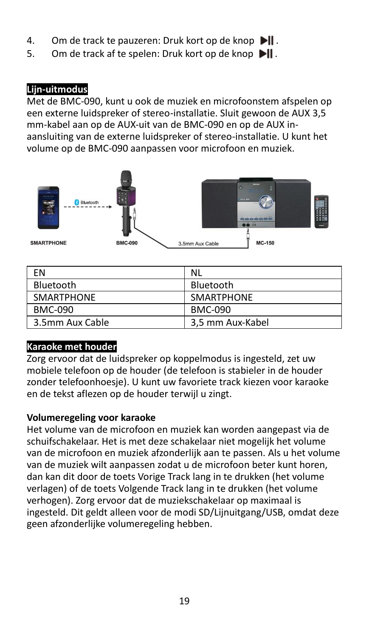- 4. Om de track te pauzeren: Druk kort op de knop  $\blacktriangleright$
- 5. Om de track af te spelen: Druk kort op de knop  $\blacksquare$

### **Lijn-uitmodus**

Met de BMC-090, kunt u ook de muziek en microfoonstem afspelen op een externe luidspreker of stereo-installatie. Sluit gewoon de AUX 3,5 mm-kabel aan op de AUX-uit van de BMC-090 en op de AUX inaansluiting van de externe luidspreker of stereo-installatie. U kunt het volume op de BMC-090 aanpassen voor microfoon en muziek.



| FN                | <b>NL</b>         |
|-------------------|-------------------|
| Bluetooth         | Bluetooth         |
| <b>SMARTPHONE</b> | <b>SMARTPHONE</b> |
| BMC-090           | <b>BMC-090</b>    |
| 3.5mm Aux Cable   | 3,5 mm Aux-Kabel  |

# **Karaoke met houder**

Zorg ervoor dat de luidspreker op koppelmodus is ingesteld, zet uw mobiele telefoon op de houder (de telefoon is stabieler in de houder zonder telefoonhoesje). U kunt uw favoriete track kiezen voor karaoke en de tekst aflezen op de houder terwijl u zingt.

### **Volumeregeling voor karaoke**

Het volume van de microfoon en muziek kan worden aangepast via de schuifschakelaar. Het is met deze schakelaar niet mogelijk het volume van de microfoon en muziek afzonderlijk aan te passen. Als u het volume van de muziek wilt aanpassen zodat u de microfoon beter kunt horen, dan kan dit door de toets Vorige Track lang in te drukken (het volume verlagen) of de toets Volgende Track lang in te drukken (het volume verhogen). Zorg ervoor dat de muziekschakelaar op maximaal is ingesteld. Dit geldt alleen voor de modi SD/Lijnuitgang/USB, omdat deze geen afzonderlijke volumeregeling hebben.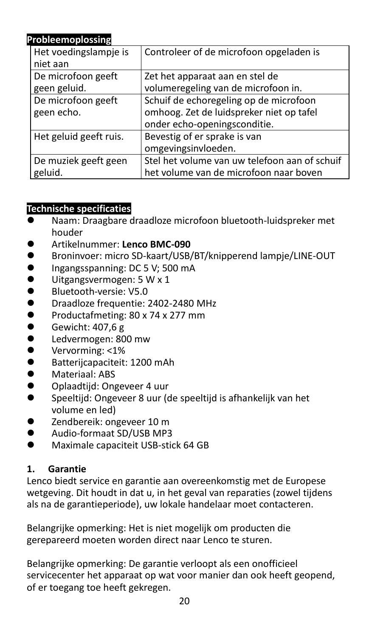| Probleemoplossing      |                                               |
|------------------------|-----------------------------------------------|
| Het voedingslampje is  | Controleer of de microfoon opgeladen is       |
| niet aan               |                                               |
| De microfoon geeft     | Zet het apparaat aan en stel de               |
| geen geluid.           | volumeregeling van de microfoon in.           |
| De microfoon geeft     | Schuif de echoregeling op de microfoon        |
| geen echo.             | omhoog. Zet de luidspreker niet op tafel      |
|                        | onder echo-openingsconditie.                  |
| Het geluid geeft ruis. | Bevestig of er sprake is van                  |
|                        | omgevingsinvloeden.                           |
| De muziek geeft geen   | Stel het volume van uw telefoon aan of schuif |
| geluid.                | het volume van de microfoon naar boven        |

### **Technische specificaties**

- Naam: Draagbare draadloze microfoon bluetooth-luidspreker met houder
- ⚫ Artikelnummer: **Lenco BMC-090**
- Broninvoer: micro SD-kaart/USB/BT/knipperend lampje/LINE-OUT<br>● lngangsspanning: DC 5 V: 500 mA
- ⚫ Ingangsspanning: DC 5 V; 500 mA
- ⚫ Uitgangsvermogen: 5 W x 1
- Bluetooth-versie: V5.0
- ⚫ Draadloze frequentie: 2402-2480 MHz
- Productafmeting: 80 x 74 x 277 mm
- Gewicht: 407,6 g<br>● Ledvermogen: 80
- ⚫ Ledvermogen: 800 mw
- Vervorming: <1%<br>● Ratteriicanaciteit
- Batterijcapaciteit: 1200 mAh
- Materiaal: ABS
- Oplaadtiid: Ongeveer 4 uur
- ⚫ Speeltijd: Ongeveer 8 uur (de speeltijd is afhankelijk van het volume en led)
- Zendbereik: ongeveer 10 m
- ⚫ Audio-formaat SD/USB MP3
- ⚫ Maximale capaciteit USB-stick 64 GB

### **1. Garantie**

Lenco biedt service en garantie aan overeenkomstig met de Europese wetgeving. Dit houdt in dat u, in het geval van reparaties (zowel tijdens als na de garantieperiode), uw lokale handelaar moet contacteren.

Belangrijke opmerking: Het is niet mogelijk om producten die gerepareerd moeten worden direct naar Lenco te sturen.

Belangrijke opmerking: De garantie verloopt als een onofficieel servicecenter het apparaat op wat voor manier dan ook heeft geopend, of er toegang toe heeft gekregen.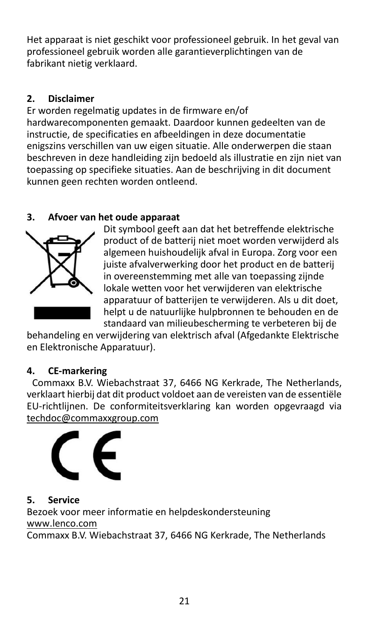Het apparaat is niet geschikt voor professioneel gebruik. In het geval van professioneel gebruik worden alle garantieverplichtingen van de fabrikant nietig verklaard.

# **2. Disclaimer**

Er worden regelmatig updates in de firmware en/of hardwarecomponenten gemaakt. Daardoor kunnen gedeelten van de instructie, de specificaties en afbeeldingen in deze documentatie enigszins verschillen van uw eigen situatie. Alle onderwerpen die staan beschreven in deze handleiding zijn bedoeld als illustratie en zijn niet van toepassing op specifieke situaties. Aan de beschrijving in dit document kunnen geen rechten worden ontleend.

# **3. Afvoer van het oude apparaat**



Dit symbool geeft aan dat het betreffende elektrische product of de batterij niet moet worden verwijderd als algemeen huishoudelijk afval in Europa. Zorg voor een juiste afvalverwerking door het product en de batterij in overeenstemming met alle van toepassing zijnde lokale wetten voor het verwijderen van elektrische apparatuur of batterijen te verwijderen. Als u dit doet, helpt u de natuurlijke hulpbronnen te behouden en de standaard van milieubescherming te verbeteren bij de

behandeling en verwijdering van elektrisch afval (Afgedankte Elektrische en Elektronische Apparatuur).

# **4. CE-markering**

Commaxx B.V. Wiebachstraat 37, 6466 NG Kerkrade, The Netherlands, verklaart hierbij dat dit product voldoet aan de vereisten van de essentiële EU-richtlijnen. De conformiteitsverklaring kan worden opgevraagd via [techdoc@commaxxgroup.com](mailto:techdoc@commaxxgroup.com)



# **5. Service**

Bezoek voor meer informatie en helpdeskondersteuning [www.lenco.com](http://www.lenco.com/) 

Commaxx B.V. Wiebachstraat 37, 6466 NG Kerkrade, The Netherlands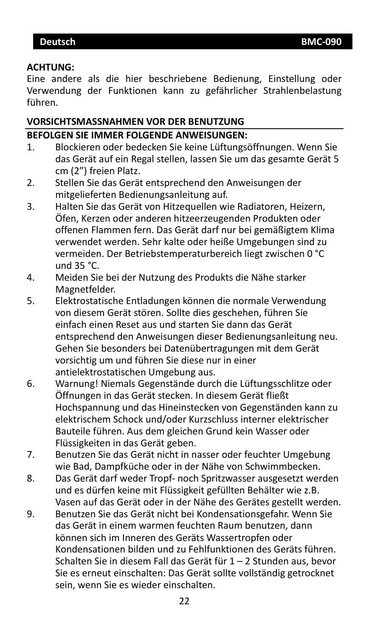#### <span id="page-21-0"></span>**ACHTUNG:**

Eine andere als die hier beschriebene Bedienung, Einstellung oder Verwendung der Funktionen kann zu gefährlicher Strahlenbelastung führen.

#### **VORSICHTSMASSNAHMEN VOR DER BENUTZUNG**

#### **BEFOLGEN SIE IMMER FOLGENDE ANWEISUNGEN:**

- 1. Blockieren oder bedecken Sie keine Lüftungsöffnungen. Wenn Sie das Gerät auf ein Regal stellen, lassen Sie um das gesamte Gerät 5 cm (2") freien Platz.
- 2. Stellen Sie das Gerät entsprechend den Anweisungen der mitgelieferten Bedienungsanleitung auf.
- 3. Halten Sie das Gerät von Hitzequellen wie Radiatoren, Heizern, Öfen, Kerzen oder anderen hitzeerzeugenden Produkten oder offenen Flammen fern. Das Gerät darf nur bei gemäßigtem Klima verwendet werden. Sehr kalte oder heiße Umgebungen sind zu vermeiden. Der Betriebstemperaturbereich liegt zwischen 0 °C und 35 °C.
- 4. Meiden Sie bei der Nutzung des Produkts die Nähe starker Magnetfelder.
- 5. Elektrostatische Entladungen können die normale Verwendung von diesem Gerät stören. Sollte dies geschehen, führen Sie einfach einen Reset aus und starten Sie dann das Gerät entsprechend den Anweisungen dieser Bedienungsanleitung neu. Gehen Sie besonders bei Datenübertragungen mit dem Gerät vorsichtig um und führen Sie diese nur in einer antielektrostatischen Umgebung aus.
- 6. Warnung! Niemals Gegenstände durch die Lüftungsschlitze oder Öffnungen in das Gerät stecken. In diesem Gerät fließt Hochspannung und das Hineinstecken von Gegenständen kann zu elektrischem Schock und/oder Kurzschluss interner elektrischer Bauteile führen. Aus dem gleichen Grund kein Wasser oder Flüssigkeiten in das Gerät geben.
- 7. Benutzen Sie das Gerät nicht in nasser oder feuchter Umgebung wie Bad, Dampfküche oder in der Nähe von Schwimmbecken.
- 8. Das Gerät darf weder Tropf- noch Spritzwasser ausgesetzt werden und es dürfen keine mit Flüssigkeit gefüllten Behälter wie z.B. Vasen auf das Gerät oder in der Nähe des Gerätes gestellt werden.
- 9. Benutzen Sie das Gerät nicht bei Kondensationsgefahr. Wenn Sie das Gerät in einem warmen feuchten Raum benutzen, dann können sich im Inneren des Geräts Wassertropfen oder Kondensationen bilden und zu Fehlfunktionen des Geräts führen. Schalten Sie in diesem Fall das Gerät für 1 – 2 Stunden aus, bevor Sie es erneut einschalten: Das Gerät sollte vollständig getrocknet sein, wenn Sie es wieder einschalten.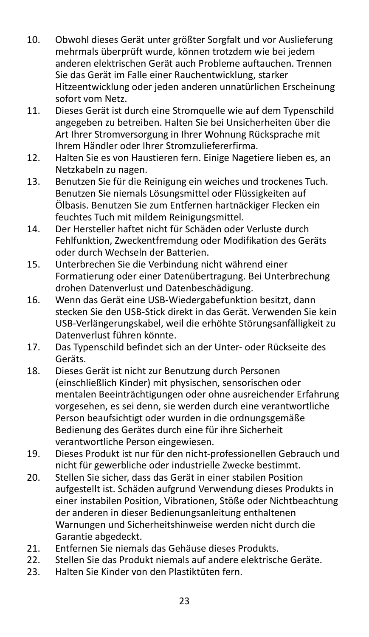- 10. Obwohl dieses Gerät unter größter Sorgfalt und vor Auslieferung mehrmals überprüft wurde, können trotzdem wie bei jedem anderen elektrischen Gerät auch Probleme auftauchen. Trennen Sie das Gerät im Falle einer Rauchentwicklung, starker Hitzeentwicklung oder jeden anderen unnatürlichen Erscheinung sofort vom Netz.
- 11. Dieses Gerät ist durch eine Stromquelle wie auf dem Typenschild angegeben zu betreiben. Halten Sie bei Unsicherheiten über die Art Ihrer Stromversorgung in Ihrer Wohnung Rücksprache mit Ihrem Händler oder Ihrer Stromzuliefererfirma.
- 12. Halten Sie es von Haustieren fern. Einige Nagetiere lieben es, an Netzkabeln zu nagen.
- 13. Benutzen Sie für die Reinigung ein weiches und trockenes Tuch. Benutzen Sie niemals Lösungsmittel oder Flüssigkeiten auf Ölbasis. Benutzen Sie zum Entfernen hartnäckiger Flecken ein feuchtes Tuch mit mildem Reinigungsmittel.
- 14. Der Hersteller haftet nicht für Schäden oder Verluste durch Fehlfunktion, Zweckentfremdung oder Modifikation des Geräts oder durch Wechseln der Batterien.
- 15. Unterbrechen Sie die Verbindung nicht während einer Formatierung oder einer Datenübertragung. Bei Unterbrechung drohen Datenverlust und Datenbeschädigung.
- 16. Wenn das Gerät eine USB-Wiedergabefunktion besitzt, dann stecken Sie den USB-Stick direkt in das Gerät. Verwenden Sie kein USB-Verlängerungskabel, weil die erhöhte Störungsanfälligkeit zu Datenverlust führen könnte.
- 17. Das Typenschild befindet sich an der Unter- oder Rückseite des Geräts.
- 18. Dieses Gerät ist nicht zur Benutzung durch Personen (einschließlich Kinder) mit physischen, sensorischen oder mentalen Beeinträchtigungen oder ohne ausreichender Erfahrung vorgesehen, es sei denn, sie werden durch eine verantwortliche Person beaufsichtigt oder wurden in die ordnungsgemäße Bedienung des Gerätes durch eine für ihre Sicherheit verantwortliche Person eingewiesen.
- 19. Dieses Produkt ist nur für den nicht-professionellen Gebrauch und nicht für gewerbliche oder industrielle Zwecke bestimmt.
- 20. Stellen Sie sicher, dass das Gerät in einer stabilen Position aufgestellt ist. Schäden aufgrund Verwendung dieses Produkts in einer instabilen Position, Vibrationen, Stöße oder Nichtbeachtung der anderen in dieser Bedienungsanleitung enthaltenen Warnungen und Sicherheitshinweise werden nicht durch die Garantie abgedeckt.
- 21. Entfernen Sie niemals das Gehäuse dieses Produkts.<br>22. Stellen Sie das Produkt niemals auf andere elektrisch
- 22. Stellen Sie das Produkt niemals auf andere elektrische Geräte.<br>23. Halten Sie Kinder von den Plastiktüten fern
- 23. Halten Sie Kinder von den Plastiktüten fern.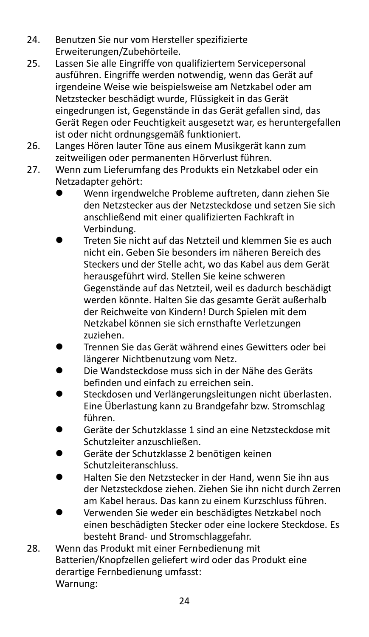- 24. Benutzen Sie nur vom Hersteller spezifizierte Erweiterungen/Zubehörteile.
- 25. Lassen Sie alle Eingriffe von qualifiziertem Servicepersonal ausführen. Eingriffe werden notwendig, wenn das Gerät auf irgendeine Weise wie beispielsweise am Netzkabel oder am Netzstecker beschädigt wurde, Flüssigkeit in das Gerät eingedrungen ist, Gegenstände in das Gerät gefallen sind, das Gerät Regen oder Feuchtigkeit ausgesetzt war, es heruntergefallen ist oder nicht ordnungsgemäß funktioniert.
- 26. Langes Hören lauter Töne aus einem Musikgerät kann zum zeitweiligen oder permanenten Hörverlust führen.
- 27. Wenn zum Lieferumfang des Produkts ein Netzkabel oder ein Netzadapter gehört:
	- ⚫ Wenn irgendwelche Probleme auftreten, dann ziehen Sie den Netzstecker aus der Netzsteckdose und setzen Sie sich anschließend mit einer qualifizierten Fachkraft in Verbindung.
	- ⚫ Treten Sie nicht auf das Netzteil und klemmen Sie es auch nicht ein. Geben Sie besonders im näheren Bereich des Steckers und der Stelle acht, wo das Kabel aus dem Gerät herausgeführt wird. Stellen Sie keine schweren Gegenstände auf das Netzteil, weil es dadurch beschädigt werden könnte. Halten Sie das gesamte Gerät außerhalb der Reichweite von Kindern! Durch Spielen mit dem Netzkabel können sie sich ernsthafte Verletzungen zuziehen.
	- ⚫ Trennen Sie das Gerät während eines Gewitters oder bei längerer Nichtbenutzung vom Netz.
	- ⚫ Die Wandsteckdose muss sich in der Nähe des Geräts befinden und einfach zu erreichen sein.
	- ⚫ Steckdosen und Verlängerungsleitungen nicht überlasten. Eine Überlastung kann zu Brandgefahr bzw. Stromschlag führen.
	- ⚫ Geräte der Schutzklasse 1 sind an eine Netzsteckdose mit Schutzleiter anzuschließen.
	- ⚫ Geräte der Schutzklasse 2 benötigen keinen Schutzleiteranschluss.
	- ⚫ Halten Sie den Netzstecker in der Hand, wenn Sie ihn aus der Netzsteckdose ziehen. Ziehen Sie ihn nicht durch Zerren am Kabel heraus. Das kann zu einem Kurzschluss führen.
	- ⚫ Verwenden Sie weder ein beschädigtes Netzkabel noch einen beschädigten Stecker oder eine lockere Steckdose. Es besteht Brand- und Stromschlaggefahr.
- 28. Wenn das Produkt mit einer Fernbedienung mit Batterien/Knopfzellen geliefert wird oder das Produkt eine derartige Fernbedienung umfasst: Warnung: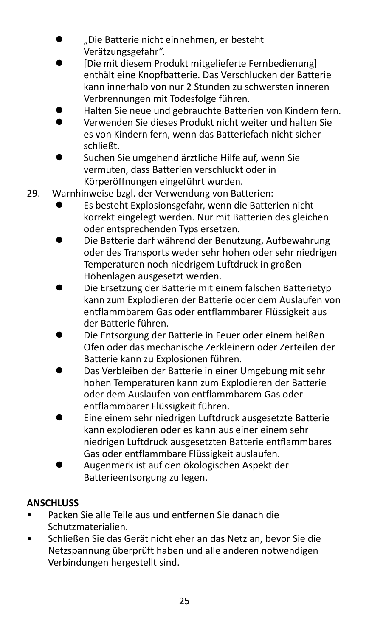- ⚫ "Die Batterie nicht einnehmen, er besteht Verätzungsgefahr".
- ⚫ [Die mit diesem Produkt mitgelieferte Fernbedienung] enthält eine Knopfbatterie. Das Verschlucken der Batterie kann innerhalb von nur 2 Stunden zu schwersten inneren Verbrennungen mit Todesfolge führen.
- ⚫ Halten Sie neue und gebrauchte Batterien von Kindern fern.
- ⚫ Verwenden Sie dieses Produkt nicht weiter und halten Sie es von Kindern fern, wenn das Batteriefach nicht sicher schließt.
- ⚫ Suchen Sie umgehend ärztliche Hilfe auf, wenn Sie vermuten, dass Batterien verschluckt oder in Körperöffnungen eingeführt wurden.
- 29. Warnhinweise bzgl. der Verwendung von Batterien:
	- ⚫ Es besteht Explosionsgefahr, wenn die Batterien nicht korrekt eingelegt werden. Nur mit Batterien des gleichen oder entsprechenden Typs ersetzen.
	- ⚫ Die Batterie darf während der Benutzung, Aufbewahrung oder des Transports weder sehr hohen oder sehr niedrigen Temperaturen noch niedrigem Luftdruck in großen Höhenlagen ausgesetzt werden.
	- ⚫ Die Ersetzung der Batterie mit einem falschen Batterietyp kann zum Explodieren der Batterie oder dem Auslaufen von entflammbarem Gas oder entflammbarer Flüssigkeit aus der Batterie führen.
	- ⚫ Die Entsorgung der Batterie in Feuer oder einem heißen Ofen oder das mechanische Zerkleinern oder Zerteilen der Batterie kann zu Explosionen führen.
	- ⚫ Das Verbleiben der Batterie in einer Umgebung mit sehr hohen Temperaturen kann zum Explodieren der Batterie oder dem Auslaufen von entflammbarem Gas oder entflammbarer Flüssigkeit führen.
	- ⚫ Eine einem sehr niedrigen Luftdruck ausgesetzte Batterie kann explodieren oder es kann aus einer einem sehr niedrigen Luftdruck ausgesetzten Batterie entflammbares Gas oder entflammbare Flüssigkeit auslaufen.
	- ⚫ Augenmerk ist auf den ökologischen Aspekt der Batterieentsorgung zu legen.

# **ANSCHLUSS**

- Packen Sie alle Teile aus und entfernen Sie danach die Schutzmaterialien.
- Schließen Sie das Gerät nicht eher an das Netz an, bevor Sie die Netzspannung überprüft haben und alle anderen notwendigen Verbindungen hergestellt sind.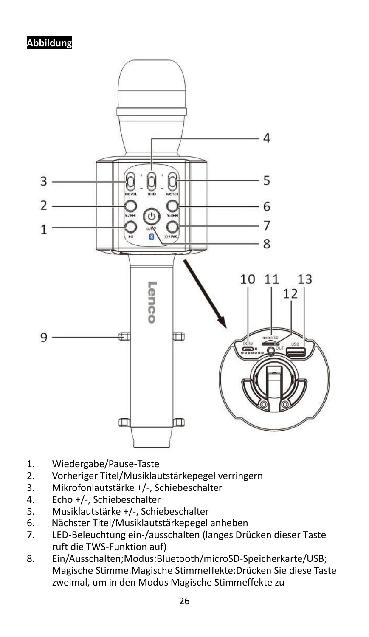# **Abbildung**



- 1. Wiedergabe/Pause-Taste
- 2. Vorheriger Titel/Musiklautstärkepegel verringern<br>3. Mikrofonlautstärke +/-. Schiebeschalter
- 3. Mikrofonlautstärke +/-, Schiebeschalter
- 4. Echo +/-, Schiebeschalter
- 5. Musiklautstärke +/-, Schiebeschalter<br>6. Nächster Titel/Musiklautstärkepegel
- 6. Nächster Titel/Musiklautstärkepegel anheben
- 7. LED-Beleuchtung ein-/ausschalten (langes Drücken dieser Taste ruft die TWS-Funktion auf)
- 8. Ein/Ausschalten;Modus:Bluetooth/microSD-Speicherkarte/USB; Magische Stimme.Magische Stimmeffekte:Drücken Sie diese Taste zweimal, um in den Modus Magische Stimmeffekte zu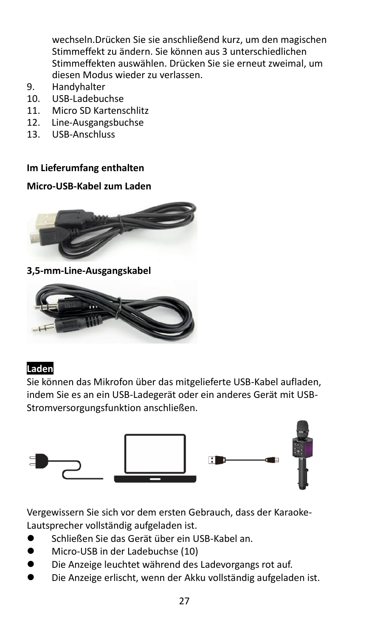wechseln.Drücken Sie sie anschließend kurz, um den magischen Stimmeffekt zu ändern. Sie können aus 3 unterschiedlichen Stimmeffekten auswählen. Drücken Sie sie erneut zweimal, um diesen Modus wieder zu verlassen.

- 9. Handyhalter<br>10 USB-Ladebur
- 10. USB-Ladebuchse
- 11. Micro SD Kartenschlitz
- 12. Line-Ausgangsbuchse<br>13. USB-Anschluss
- 13. USB-Anschluss

#### **Im Lieferumfang enthalten**

#### **Micro-USB-Kabel zum Laden**



#### **3,5-mm-Line-Ausgangskabel**



#### **Laden**

Sie können das Mikrofon über das mitgelieferte USB-Kabel aufladen, indem Sie es an ein USB-Ladegerät oder ein anderes Gerät mit USB-Stromversorgungsfunktion anschließen.



Vergewissern Sie sich vor dem ersten Gebrauch, dass der Karaoke-Lautsprecher vollständig aufgeladen ist.

- ⚫ Schließen Sie das Gerät über ein USB-Kabel an.
- ⚫ Micro-USB in der Ladebuchse (10)
- ⚫ Die Anzeige leuchtet während des Ladevorgangs rot auf.
- ⚫ Die Anzeige erlischt, wenn der Akku vollständig aufgeladen ist.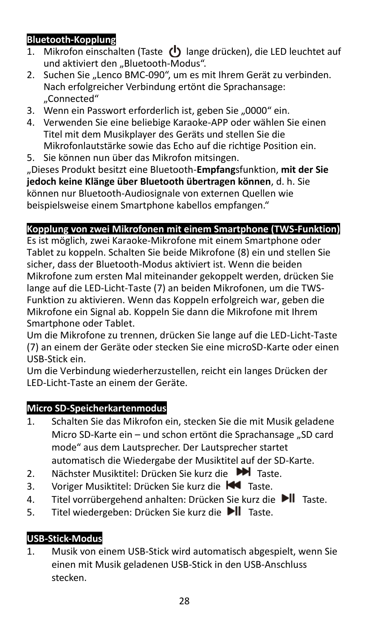# **Bluetooth-Kopplung**

- 1. Mikrofon einschalten (Taste  $\langle \cdot \rangle$  lange drücken), die LED leuchtet auf und aktiviert den "Bluetooth-Modus".
- 2. Suchen Sie "Lenco BMC-090", um es mit Ihrem Gerät zu verbinden. Nach erfolgreicher Verbindung ertönt die Sprachansage: "Connected"
- 3. Wenn ein Passwort erforderlich ist, geben Sie "0000" ein.
- 4. Verwenden Sie eine beliebige Karaoke-APP oder wählen Sie einen Titel mit dem Musikplayer des Geräts und stellen Sie die Mikrofonlautstärke sowie das Echo auf die richtige Position ein.
- 5. Sie können nun über das Mikrofon mitsingen.

"Dieses Produkt besitzt eine Bluetooth-**Empfang**sfunktion, **mit der Sie jedoch keine Klänge über Bluetooth übertragen können**, d. h. Sie können nur Bluetooth-Audiosignale von externen Quellen wie beispielsweise einem Smartphone kabellos empfangen."

### **Kopplung von zwei Mikrofonen mit einem Smartphone (TWS-Funktion)**

Es ist möglich, zwei Karaoke-Mikrofone mit einem Smartphone oder Tablet zu koppeln. Schalten Sie beide Mikrofone (8) ein und stellen Sie sicher, dass der Bluetooth-Modus aktiviert ist. Wenn die beiden Mikrofone zum ersten Mal miteinander gekoppelt werden, drücken Sie lange auf die LED-Licht-Taste (7) an beiden Mikrofonen, um die TWS-Funktion zu aktivieren. Wenn das Koppeln erfolgreich war, geben die Mikrofone ein Signal ab. Koppeln Sie dann die Mikrofone mit Ihrem Smartphone oder Tablet.

Um die Mikrofone zu trennen, drücken Sie lange auf die LED-Licht-Taste (7) an einem der Geräte oder stecken Sie eine microSD-Karte oder einen USB-Stick ein.

Um die Verbindung wiederherzustellen, reicht ein langes Drücken der LED-Licht-Taste an einem der Geräte.

### **Micro SD-Speicherkartenmodus**

- 1. Schalten Sie das Mikrofon ein, stecken Sie die mit Musik geladene Micro SD-Karte ein – und schon ertönt die Sprachansage "SD card mode" aus dem Lautsprecher. Der Lautsprecher startet automatisch die Wiedergabe der Musiktitel auf der SD-Karte.
- 2. Nächster Musiktitel: Drücken Sie kurz die DI Taste.
- 3. Voriger Musiktitel: Drücken Sie kurz die Kanaste.
- 4. Titel vorrübergehend anhalten: Drücken Sie kurz die DII Taste.
- 5. Titel wiedergeben: Drücken Sie kurz die ▶ Taste.

# **USB-Stick-Modus**

1. Musik von einem USB-Stick wird automatisch abgespielt, wenn Sie einen mit Musik geladenen USB-Stick in den USB-Anschluss stecken.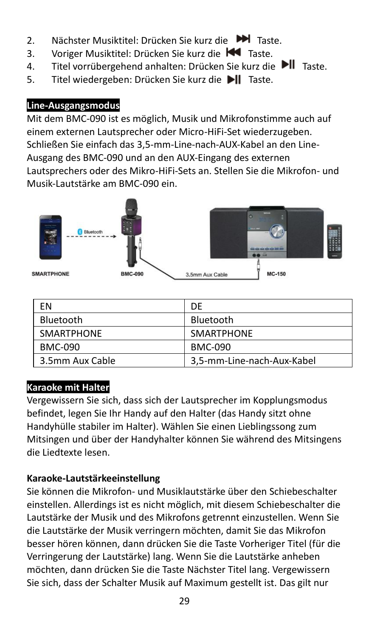- 2. Nächster Musiktitel: Drücken Sie kurz die ■■ Taste.
- 3. Voriger Musiktitel: Drücken Sie kurz die K<sup>4</sup> Taste.
- 4. Titel vorrübergehend anhalten: Drücken Sie kurz die ▶ Taste.
- 5. Titel wiedergeben: Drücken Sie kurz die ▶ Taste.

# **Line-Ausgangsmodus**

Mit dem BMC-090 ist es möglich, Musik und Mikrofonstimme auch auf einem externen Lautsprecher oder Micro-HiFi-Set wiederzugeben. Schließen Sie einfach das 3,5-mm-Line-nach-AUX-Kabel an den Line-Ausgang des BMC-090 und an den AUX-Eingang des externen Lautsprechers oder des Mikro-HiFi-Sets an. Stellen Sie die Mikrofon- und Musik-Lautstärke am BMC-090 ein.



| FN                | DF                         |
|-------------------|----------------------------|
| Bluetooth         | Bluetooth                  |
| <b>SMARTPHONE</b> | <b>SMARTPHONE</b>          |
| <b>BMC-090</b>    | <b>BMC-090</b>             |
| 3.5mm Aux Cable   | 3,5-mm-Line-nach-Aux-Kabel |

# **Karaoke mit Halter**

Vergewissern Sie sich, dass sich der Lautsprecher im Kopplungsmodus befindet, legen Sie Ihr Handy auf den Halter (das Handy sitzt ohne Handyhülle stabiler im Halter). Wählen Sie einen Lieblingssong zum Mitsingen und über der Handyhalter können Sie während des Mitsingens die Liedtexte lesen.

# **Karaoke-Lautstärkeeinstellung**

Sie können die Mikrofon- und Musiklautstärke über den Schiebeschalter einstellen. Allerdings ist es nicht möglich, mit diesem Schiebeschalter die Lautstärke der Musik und des Mikrofons getrennt einzustellen. Wenn Sie die Lautstärke der Musik verringern möchten, damit Sie das Mikrofon besser hören können, dann drücken Sie die Taste Vorheriger Titel (für die Verringerung der Lautstärke) lang. Wenn Sie die Lautstärke anheben möchten, dann drücken Sie die Taste Nächster Titel lang. Vergewissern Sie sich, dass der Schalter Musik auf Maximum gestellt ist. Das gilt nur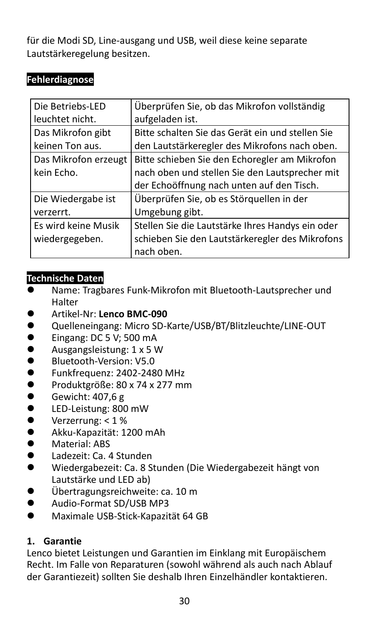für die Modi SD, Line-ausgang und USB, weil diese keine separate Lautstärkeregelung besitzen.

# **Fehlerdiagnose**

| Die Betriebs-LED     | Überprüfen Sie, ob das Mikrofon vollständig      |
|----------------------|--------------------------------------------------|
| leuchtet nicht.      | aufgeladen ist.                                  |
| Das Mikrofon gibt    | Bitte schalten Sie das Gerät ein und stellen Sie |
| keinen Ton aus.      | den Lautstärkeregler des Mikrofons nach oben.    |
| Das Mikrofon erzeugt | Bitte schieben Sie den Echoregler am Mikrofon    |
| kein Echo.           | nach oben und stellen Sie den Lautsprecher mit   |
|                      | der Echoöffnung nach unten auf den Tisch.        |
| Die Wiedergabe ist   | Überprüfen Sie, ob es Störquellen in der         |
| verzerrt.            | Umgebung gibt.                                   |
| Es wird keine Musik  | Stellen Sie die Lautstärke Ihres Handys ein oder |
| wiedergegeben.       | schieben Sie den Lautstärkeregler des Mikrofons  |
|                      | nach oben.                                       |

### **Technische Daten**

- Name: Tragbares Funk-Mikrofon mit Bluetooth-Lautsprecher und Halter
- ⚫ Artikel-Nr: **Lenco BMC-090**
- Quelleneingang: Micro SD-Karte/USB/BT/Blitzleuchte/LINE-OUT
- Eingang: DC 5 V; 500 mA<br>● Ausgangsleistung: 1 x 5 V
- ⚫ Ausgangsleistung: 1 x 5 W
- Bluetooth-Version: V5.0
- Funkfrequenz: 2402-2480 MHz<br>● Produktgröße: 80 x 74 x 277 mr
- Produktgröße: 80 x 74 x 277 mm
- $\bullet$  Gewicht: 407,6 g<br> $\bullet$  IFD-Leistung: 800
- ⚫ LED-Leistung: 800 mW
- $\bullet$  Verzerrung: < 1 %
- ⚫ Akku-Kapazität: 1200 mAh
- Material: ABS
- Ladezeit: Ca. 4 Stunden
- ⚫ Wiedergabezeit: Ca. 8 Stunden (Die Wiedergabezeit hängt von Lautstärke und LED ab)
- ⚫ Übertragungsreichweite: ca. 10 m
- Audio-Format SD/USB MP3
- ⚫ Maximale USB-Stick-Kapazität 64 GB

### **1. Garantie**

Lenco bietet Leistungen und Garantien im Einklang mit Europäischem Recht. Im Falle von Reparaturen (sowohl während als auch nach Ablauf der Garantiezeit) sollten Sie deshalb Ihren Einzelhändler kontaktieren.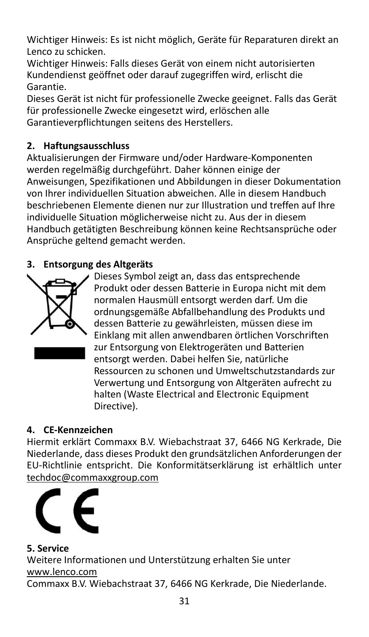Wichtiger Hinweis: Es ist nicht möglich, Geräte für Reparaturen direkt an Lenco zu schicken.

Wichtiger Hinweis: Falls dieses Gerät von einem nicht autorisierten Kundendienst geöffnet oder darauf zugegriffen wird, erlischt die Garantie.

Dieses Gerät ist nicht für professionelle Zwecke geeignet. Falls das Gerät für professionelle Zwecke eingesetzt wird, erlöschen alle Garantieverpflichtungen seitens des Herstellers.

# **2. Haftungsausschluss**

Aktualisierungen der Firmware und/oder Hardware-Komponenten werden regelmäßig durchgeführt. Daher können einige der Anweisungen, Spezifikationen und Abbildungen in dieser Dokumentation von Ihrer individuellen Situation abweichen. Alle in diesem Handbuch beschriebenen Elemente dienen nur zur Illustration und treffen auf Ihre individuelle Situation möglicherweise nicht zu. Aus der in diesem Handbuch getätigten Beschreibung können keine Rechtsansprüche oder Ansprüche geltend gemacht werden.

# **3. Entsorgung des Altgeräts**



Dieses Symbol zeigt an, dass das entsprechende Produkt oder dessen Batterie in Europa nicht mit dem normalen Hausmüll entsorgt werden darf. Um die ordnungsgemäße Abfallbehandlung des Produkts und dessen Batterie zu gewährleisten, müssen diese im Einklang mit allen anwendbaren örtlichen Vorschriften zur Entsorgung von Elektrogeräten und Batterien entsorgt werden. Dabei helfen Sie, natürliche Ressourcen zu schonen und Umweltschutzstandards zur Verwertung und Entsorgung von Altgeräten aufrecht zu halten (Waste Electrical and Electronic Equipment Directive).

# **4. CE-Kennzeichen**

Hiermit erklärt Commaxx B.V. Wiebachstraat 37, 6466 NG Kerkrade, Die Niederlande, dass dieses Produkt den grundsätzlichen Anforderungen der EU-Richtlinie entspricht. Die Konformitätserklärung ist erhältlich unter [techdoc@commaxxgroup.com](mailto:techdoc@commaxxgroup.com)



### **5. Service**

Weitere Informationen und Unterstützung erhalten Sie unter [www.lenco.com](http://www.lenco.com/)

Commaxx B.V. Wiebachstraat 37, 6466 NG Kerkrade, Die Niederlande.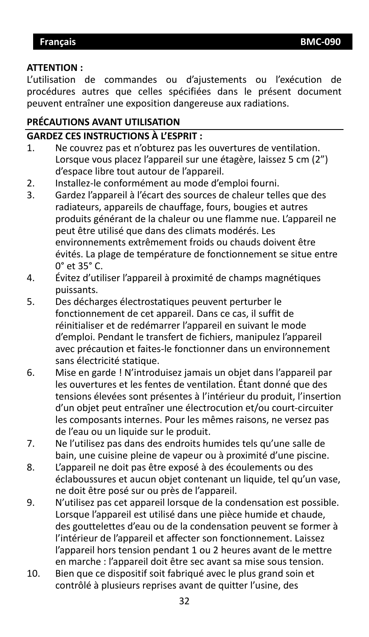#### <span id="page-31-0"></span>**ATTENTION :**

L'utilisation de commandes ou d'ajustements ou l'exécution de procédures autres que celles spécifiées dans le présent document peuvent entraîner une exposition dangereuse aux radiations.

### **PRÉCAUTIONS AVANT UTILISATION**

### **GARDEZ CES INSTRUCTIONS À L'ESPRIT :**

- 1. Ne couvrez pas et n'obturez pas les ouvertures de ventilation. Lorsque vous placez l'appareil sur une étagère, laissez 5 cm (2") d'espace libre tout autour de l'appareil.
- 2. Installez-le conformément au mode d'emploi fourni.
- 3. Gardez l'appareil à l'écart des sources de chaleur telles que des radiateurs, appareils de chauffage, fours, bougies et autres produits générant de la chaleur ou une flamme nue. L'appareil ne peut être utilisé que dans des climats modérés. Les environnements extrêmement froids ou chauds doivent être évités. La plage de température de fonctionnement se situe entre 0° et 35° C.
- 4. Évitez d'utiliser l'appareil à proximité de champs magnétiques puissants.
- 5. Des décharges électrostatiques peuvent perturber le fonctionnement de cet appareil. Dans ce cas, il suffit de réinitialiser et de redémarrer l'appareil en suivant le mode d'emploi. Pendant le transfert de fichiers, manipulez l'appareil avec précaution et faites-le fonctionner dans un environnement sans électricité statique.
- 6. Mise en garde ! N'introduisez jamais un objet dans l'appareil par les ouvertures et les fentes de ventilation. Étant donné que des tensions élevées sont présentes à l'intérieur du produit, l'insertion d'un objet peut entraîner une électrocution et/ou court-circuiter les composants internes. Pour les mêmes raisons, ne versez pas de l'eau ou un liquide sur le produit.
- 7. Ne l'utilisez pas dans des endroits humides tels qu'une salle de bain, une cuisine pleine de vapeur ou à proximité d'une piscine.
- 8. L'appareil ne doit pas être exposé à des écoulements ou des éclaboussures et aucun objet contenant un liquide, tel qu'un vase, ne doit être posé sur ou près de l'appareil.
- 9. N'utilisez pas cet appareil lorsque de la condensation est possible. Lorsque l'appareil est utilisé dans une pièce humide et chaude, des gouttelettes d'eau ou de la condensation peuvent se former à l'intérieur de l'appareil et affecter son fonctionnement. Laissez l'appareil hors tension pendant 1 ou 2 heures avant de le mettre en marche : l'appareil doit être sec avant sa mise sous tension.
- 10. Bien que ce dispositif soit fabriqué avec le plus grand soin et contrôlé à plusieurs reprises avant de quitter l'usine, des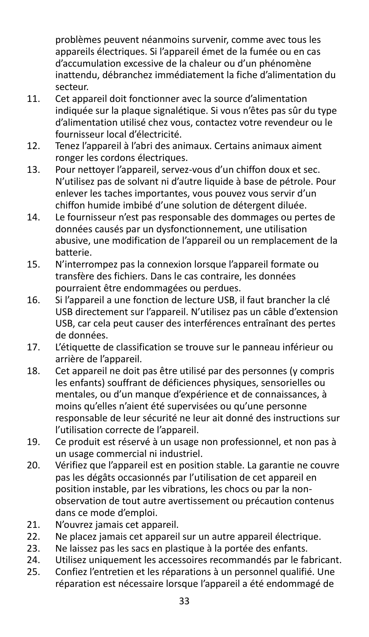problèmes peuvent néanmoins survenir, comme avec tous les appareils électriques. Si l'appareil émet de la fumée ou en cas d'accumulation excessive de la chaleur ou d'un phénomène inattendu, débranchez immédiatement la fiche d'alimentation du secteur.

- 11. Cet appareil doit fonctionner avec la source d'alimentation indiquée sur la plaque signalétique. Si vous n'êtes pas sûr du type d'alimentation utilisé chez vous, contactez votre revendeur ou le fournisseur local d'électricité.
- 12. Tenez l'appareil à l'abri des animaux. Certains animaux aiment ronger les cordons électriques.
- 13. Pour nettoyer l'appareil, servez-vous d'un chiffon doux et sec. N'utilisez pas de solvant ni d'autre liquide à base de pétrole. Pour enlever les taches importantes, vous pouvez vous servir d'un chiffon humide imbibé d'une solution de détergent diluée.
- 14. Le fournisseur n'est pas responsable des dommages ou pertes de données causés par un dysfonctionnement, une utilisation abusive, une modification de l'appareil ou un remplacement de la batterie.
- 15. N'interrompez pas la connexion lorsque l'appareil formate ou transfère des fichiers. Dans le cas contraire, les données pourraient être endommagées ou perdues.
- 16. Si l'appareil a une fonction de lecture USB, il faut brancher la clé USB directement sur l'appareil. N'utilisez pas un câble d'extension USB, car cela peut causer des interférences entraînant des pertes de données.
- 17. L'étiquette de classification se trouve sur le panneau inférieur ou arrière de l'appareil.
- 18. Cet appareil ne doit pas être utilisé par des personnes (y compris les enfants) souffrant de déficiences physiques, sensorielles ou mentales, ou d'un manque d'expérience et de connaissances, à moins qu'elles n'aient été supervisées ou qu'une personne responsable de leur sécurité ne leur ait donné des instructions sur l'utilisation correcte de l'appareil.
- 19. Ce produit est réservé à un usage non professionnel, et non pas à un usage commercial ni industriel.
- 20. Vérifiez que l'appareil est en position stable. La garantie ne couvre pas les dégâts occasionnés par l'utilisation de cet appareil en position instable, par les vibrations, les chocs ou par la nonobservation de tout autre avertissement ou précaution contenus dans ce mode d'emploi.
- 21. N'ouvrez jamais cet appareil.<br>22. Ne placez jamais cet appareil
- Ne placez jamais cet appareil sur un autre appareil électrique.
- 23. Ne laissez pas les sacs en plastique à la portée des enfants.
- 24. Utilisez uniquement les accessoires recommandés par le fabricant.<br>25. Confiez l'entretien et les réparations à un personnel qualifié. Une
- 25. Confiez l'entretien et les réparations à un personnel qualifié. Une réparation est nécessaire lorsque l'appareil a été endommagé de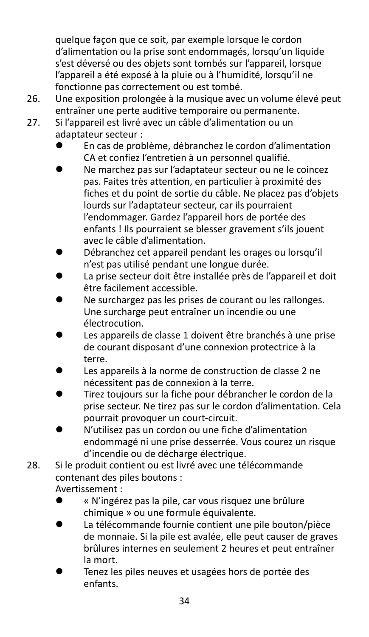quelque façon que ce soit, par exemple lorsque le cordon d'alimentation ou la prise sont endommagés, lorsqu'un liquide s'est déversé ou des objets sont tombés sur l'appareil, lorsque l'appareil a été exposé à la pluie ou à l'humidité, lorsqu'il ne fonctionne pas correctement ou est tombé.

- 26. Une exposition prolongée à la musique avec un volume élevé peut entraîner une perte auditive temporaire ou permanente.
- 27. Si l'appareil est livré avec un câble d'alimentation ou un adaptateur secteur :
	- ⚫ En cas de problème, débranchez le cordon d'alimentation CA et confiez l'entretien à un personnel qualifié.
	- ⚫ Ne marchez pas sur l'adaptateur secteur ou ne le coincez pas. Faites très attention, en particulier à proximité des fiches et du point de sortie du câble. Ne placez pas d'objets lourds sur l'adaptateur secteur, car ils pourraient l'endommager. Gardez l'appareil hors de portée des enfants ! Ils pourraient se blesser gravement s'ils jouent avec le câble d'alimentation.
	- ⚫ Débranchez cet appareil pendant les orages ou lorsqu'il n'est pas utilisé pendant une longue durée.
	- ⚫ La prise secteur doit être installée près de l'appareil et doit être facilement accessible.
	- ⚫ Ne surchargez pas les prises de courant ou les rallonges. Une surcharge peut entraîner un incendie ou une électrocution.
	- ⚫ Les appareils de classe 1 doivent être branchés à une prise de courant disposant d'une connexion protectrice à la terre.
	- ⚫ Les appareils à la norme de construction de classe 2 ne nécessitent pas de connexion à la terre.
	- ⚫ Tirez toujours sur la fiche pour débrancher le cordon de la prise secteur. Ne tirez pas sur le cordon d'alimentation. Cela pourrait provoquer un court-circuit.
	- ⚫ N'utilisez pas un cordon ou une fiche d'alimentation endommagé ni une prise desserrée. Vous courez un risque d'incendie ou de décharge électrique.
- 28. Si le produit contient ou est livré avec une télécommande contenant des piles boutons :

Avertissement :

- ⚫ « N'ingérez pas la pile, car vous risquez une brûlure chimique » ou une formule équivalente.
- ⚫ La télécommande fournie contient une pile bouton/pièce de monnaie. Si la pile est avalée, elle peut causer de graves brûlures internes en seulement 2 heures et peut entraîner la mort.
- ⚫ Tenez les piles neuves et usagées hors de portée des enfants.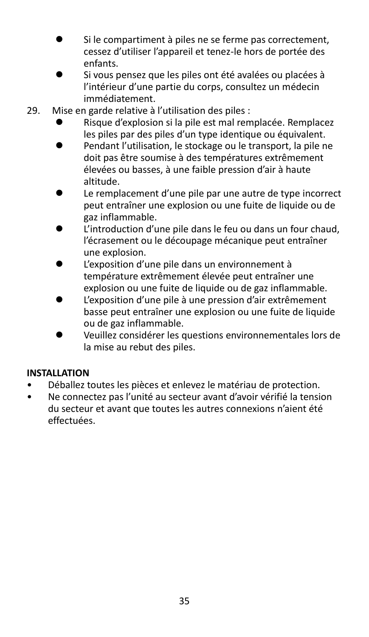- Si le compartiment à piles ne se ferme pas correctement, cessez d'utiliser l'appareil et tenez-le hors de portée des enfants.
- ⚫ Si vous pensez que les piles ont été avalées ou placées à l'intérieur d'une partie du corps, consultez un médecin immédiatement.
- 29. Mise en garde relative à l'utilisation des piles :
	- ⚫ Risque d'explosion si la pile est mal remplacée. Remplacez les piles par des piles d'un type identique ou équivalent.
	- ⚫ Pendant l'utilisation, le stockage ou le transport, la pile ne doit pas être soumise à des températures extrêmement élevées ou basses, à une faible pression d'air à haute altitude.
	- Le remplacement d'une pile par une autre de type incorrect peut entraîner une explosion ou une fuite de liquide ou de gaz inflammable.
	- L'introduction d'une pile dans le feu ou dans un four chaud, l'écrasement ou le découpage mécanique peut entraîner une explosion.
	- L'exposition d'une pile dans un environnement à température extrêmement élevée peut entraîner une explosion ou une fuite de liquide ou de gaz inflammable.
	- ⚫ L'exposition d'une pile à une pression d'air extrêmement basse peut entraîner une explosion ou une fuite de liquide ou de gaz inflammable.
	- ⚫ Veuillez considérer les questions environnementales lors de la mise au rebut des piles.

### **INSTALLATION**

- Déballez toutes les pièces et enlevez le matériau de protection.
- Ne connectez pas l'unité au secteur avant d'avoir vérifié la tension du secteur et avant que toutes les autres connexions n'aient été effectuées.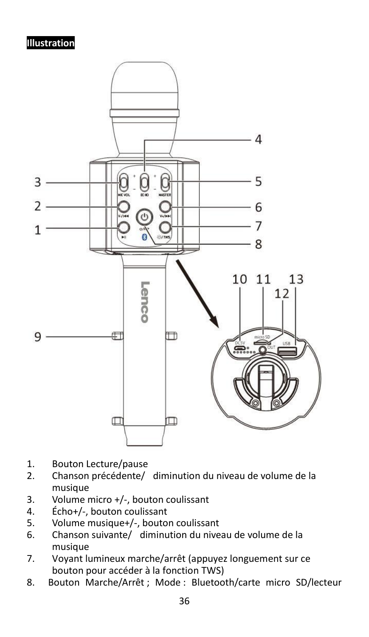#### **Illustration**



- 1. Bouton Lecture/pause<br>2. Chanson précédente/
- 2. Chanson précédente/ diminution du niveau de volume de la musique
- 3. Volume micro +/-, bouton coulissant
- 4. Écho+/-, bouton coulissant<br>5. Volume musique+/-, bouto
- 5. Volume musique+/-, bouton coulissant
- 6. Chanson suivante/ diminution du niveau de volume de la musique
- 7. Voyant lumineux marche/arrêt (appuyez longuement sur ce bouton pour accéder à la fonction TWS)
- 8. Bouton Marche/Arrêt ; Mode : Bluetooth/carte micro SD/lecteur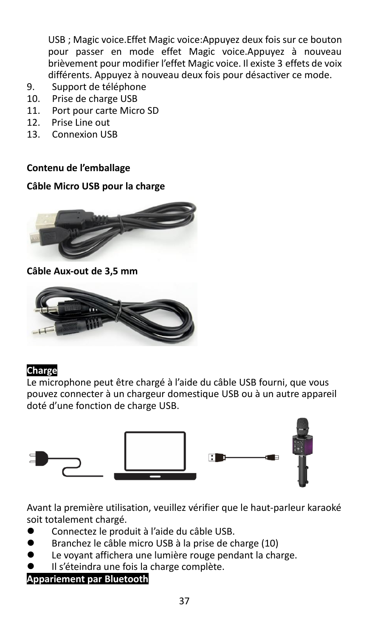USB ; Magic voice.Effet Magic voice:Appuyez deux fois sur ce bouton pour passer en mode effet Magic voice.Appuyez à nouveau brièvement pour modifier l'effet Magic voice. Il existe 3 effets de voix différents. Appuyez à nouveau deux fois pour désactiver ce mode.

- 9. Support de téléphone
- 10. Prise de charge USB
- 11. Port pour carte Micro SD
- 12. Prise Line out
- 13. Connexion USB

#### **Contenu de l'emballage**

#### **Câble Micro USB pour la charge**



**Câble Aux-out de 3,5 mm**



#### **Charge**

Le microphone peut être chargé à l'aide du câble USB fourni, que vous pouvez connecter à un chargeur domestique USB ou à un autre appareil doté d'une fonction de charge USB.



Avant la première utilisation, veuillez vérifier que le haut-parleur karaoké soit totalement chargé.

- ⚫ Connectez le produit à l'aide du câble USB.
- ⚫ Branchez le câble micro USB à la prise de charge (10)
- Le voyant affichera une lumière rouge pendant la charge.
- ⚫ Il s'éteindra une fois la charge complète.

### **Appariement par Bluetooth**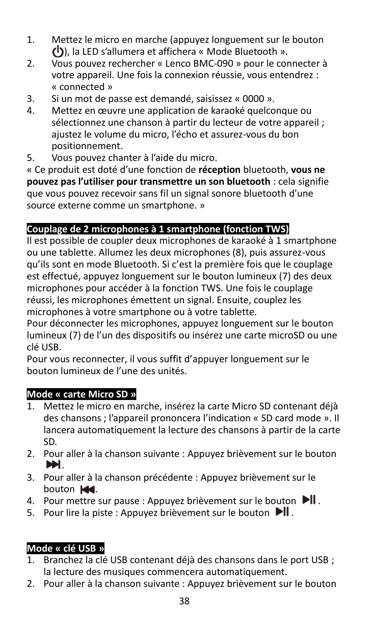- 1. Mettez le micro en marche (appuyez longuement sur le bouton ), la LED s'allumera et affichera « Mode Bluetooth ».
- 2. Vous pouvez rechercher « Lenco BMC-090 » pour le connecter à votre appareil. Une fois la connexion réussie, vous entendrez : « connected »
- 3. Si un mot de passe est demandé, saisissez « 0000 ».
- 4. Mettez en œuvre une application de karaoké quelconque ou sélectionnez une chanson à partir du lecteur de votre appareil ; ajustez le volume du micro, l'écho et assurez-vous du bon positionnement.
- 5. Vous pouvez chanter à l'aide du micro.

« Ce produit est doté d'une fonction de **réception** bluetooth, **vous ne pouvez pas l'utiliser pour transmettre un son bluetooth** : cela signifie que vous pouvez recevoir sans fil un signal sonore bluetooth d'une source externe comme un smartphone. »

# **Couplage de 2 microphones à 1 smartphone (fonction TWS)**

Il est possible de coupler deux microphones de karaoké à 1 smartphone ou une tablette. Allumez les deux microphones (8), puis assurez-vous qu'ils sont en mode Bluetooth. Si c'est la première fois que le couplage est effectué, appuyez longuement sur le bouton lumineux (7) des deux microphones pour accéder à la fonction TWS. Une fois le couplage réussi, les microphones émettent un signal. Ensuite, couplez les microphones à votre smartphone ou à votre tablette.

Pour déconnecter les microphones, appuyez longuement sur le bouton lumineux (7) de l'un des dispositifs ou insérez une carte microSD ou une clé USB.

Pour vous reconnecter, il vous suffit d'appuyer longuement sur le bouton lumineux de l'une des unités.

# **Mode « carte Micro SD »**

- 1. Mettez le micro en marche, insérez la carte Micro SD contenant déjà des chansons ; l'appareil prononcera l'indication « SD card mode ». Il lancera automatiquement la lecture des chansons à partir de la carte SD.
- 2. Pour aller à la chanson suivante : Appuyez brièvement sur le bouton .
- 3. Pour aller à la chanson précédente : Appuyez brièvement sur le bouton  $\mathbf{M}$ .
- 4. Pour mettre sur pause : Appuyez brièvement sur le bouton  $\blacksquare$ .
- 5. Pour lire la piste : Appuyez brièvement sur le bouton  $\mathbf{H}$ .

# **Mode « clé USB »**

- 1. Branchez la clé USB contenant déjà des chansons dans le port USB ; la lecture des musiques commencera automatiquement.
- 2. Pour aller à la chanson suivante : Appuyez brièvement sur le bouton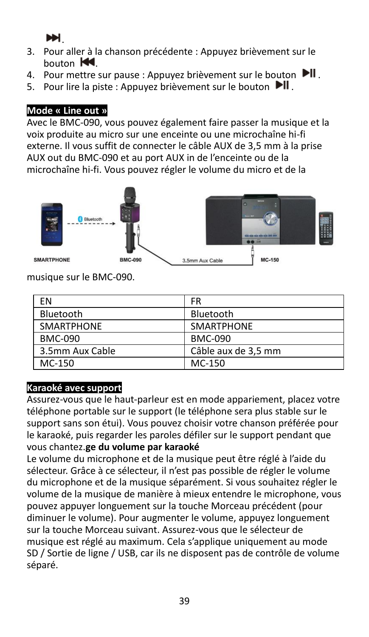.

- 3. Pour aller à la chanson précédente : Appuyez brièvement sur le  $h$ outon  $\mathbf{M}$
- 4. Pour mettre sur pause : Appuyez brièvement sur le bouton  $\mathbf{H}$ .
- 5. Pour lire la piste : Appuyez brièvement sur le bouton ▶

### **Mode « Line out »**

Avec le BMC-090, vous pouvez également faire passer la musique et la voix produite au micro sur une enceinte ou une microchaîne hi-fi externe. Il vous suffit de connecter le câble AUX de 3,5 mm à la prise AUX out du BMC-090 et au port AUX in de l'enceinte ou de la microchaîne hi-fi. Vous pouvez régler le volume du micro et de la



musique sur le BMC-090.

| ΕN                | FR                  |
|-------------------|---------------------|
| Bluetooth         | Bluetooth           |
| <b>SMARTPHONE</b> | <b>SMARTPHONE</b>   |
| <b>BMC-090</b>    | <b>BMC-090</b>      |
| 3.5mm Aux Cable   | Câble aux de 3,5 mm |
| MC-150            | MC-150              |

### **Karaoké avec support**

Assurez-vous que le haut-parleur est en mode appariement, placez votre téléphone portable sur le support (le téléphone sera plus stable sur le support sans son étui). Vous pouvez choisir votre chanson préférée pour le karaoké, puis regarder les paroles défiler sur le support pendant que vous chantez.**ge du volume par karaoké**

Le volume du microphone et de la musique peut être réglé à l'aide du sélecteur. Grâce à ce sélecteur, il n'est pas possible de régler le volume du microphone et de la musique séparément. Si vous souhaitez régler le volume de la musique de manière à mieux entendre le microphone, vous pouvez appuyer longuement sur la touche Morceau précédent (pour diminuer le volume). Pour augmenter le volume, appuyez longuement sur la touche Morceau suivant. Assurez-vous que le sélecteur de musique est réglé au maximum. Cela s'applique uniquement au mode SD / Sortie de ligne / USB, car ils ne disposent pas de contrôle de volume séparé.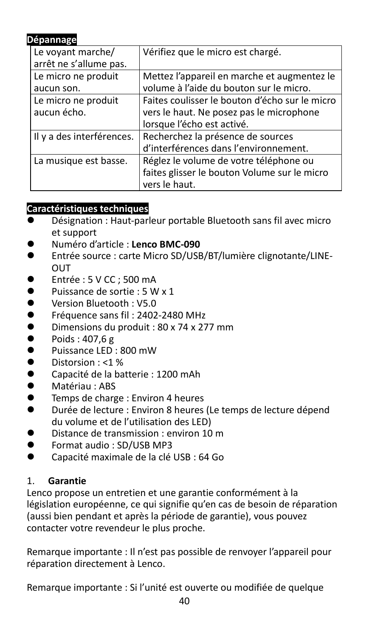### **Dépannage**

| Le voyant marche/         | Vérifiez que le micro est chargé.              |
|---------------------------|------------------------------------------------|
| arrêt ne s'allume pas.    |                                                |
| Le micro ne produit       | Mettez l'appareil en marche et augmentez le    |
| aucun son.                | volume à l'aide du bouton sur le micro.        |
| Le micro ne produit       | Faites coulisser le bouton d'écho sur le micro |
| aucun écho.               | vers le haut. Ne posez pas le microphone       |
|                           | lorsque l'écho est activé.                     |
| Il y a des interférences. | Recherchez la présence de sources              |
|                           | d'interférences dans l'environnement.          |
| La musique est basse.     | Réglez le volume de votre téléphone ou         |
|                           | faites glisser le bouton Volume sur le micro   |
|                           | vers le haut.                                  |

#### **Caractéristiques techniques**

- Désignation : Haut-parleur portable Bluetooth sans fil avec micro et support
- ⚫ Numéro d'article : **Lenco BMC-090**
- Entrée source : carte Micro SD/USB/BT/lumière clignotante/LINE-**OUT**
- Entrée : 5 V CC ; 500 mA
- Puissance de sortie : 5 W x 1
- ⚫ Version Bluetooth : V5.0
- Fréquence sans fil : 2402-2480 MHz
- Dimensions du produit :  $80 \times 74 \times 277$  mm<br>● Poids : 407 6 g
- ⚫ Poids : 407,6 g
- Puissance LED : 800 mW
- Distorsion : <1 %<br>● Canacité de la ba
- ⚫ Capacité de la batterie : 1200 mAh
- ⚫ Matériau : ABS
- ⚫ Temps de charge : Environ 4 heures
- ⚫ Durée de lecture : Environ 8 heures (Le temps de lecture dépend du volume et de l'utilisation des LED)
- ⚫ Distance de transmission : environ 10 m
- ⚫ Format audio : SD/USB MP3
- ⚫ Capacité maximale de la clé USB : 64 Go

### 1. **Garantie**

Lenco propose un entretien et une garantie conformément à la législation européenne, ce qui signifie qu'en cas de besoin de réparation (aussi bien pendant et après la période de garantie), vous pouvez contacter votre revendeur le plus proche.

Remarque importante : Il n'est pas possible de renvoyer l'appareil pour réparation directement à Lenco.

Remarque importante : Si l'unité est ouverte ou modifiée de quelque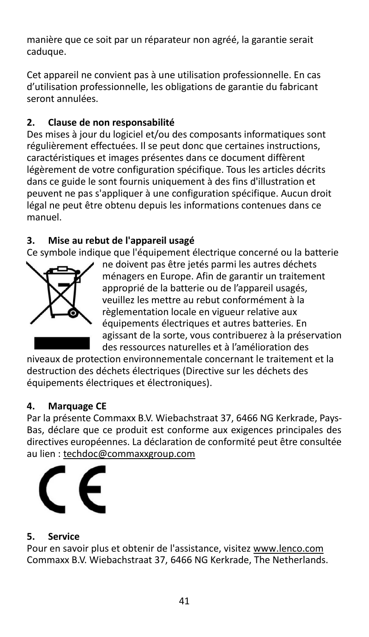manière que ce soit par un réparateur non agréé, la garantie serait caduque.

Cet appareil ne convient pas à une utilisation professionnelle. En cas d'utilisation professionnelle, les obligations de garantie du fabricant seront annulées.

# **2. Clause de non responsabilité**

Des mises à jour du logiciel et/ou des composants informatiques sont régulièrement effectuées. Il se peut donc que certaines instructions, caractéristiques et images présentes dans ce document diffèrent légèrement de votre configuration spécifique. Tous les articles décrits dans ce guide le sont fournis uniquement à des fins d'illustration et peuvent ne pas s'appliquer à une configuration spécifique. Aucun droit légal ne peut être obtenu depuis les informations contenues dans ce manuel.

### **3. Mise au rebut de l'appareil usagé**

Ce symbole indique que l'équipement électrique concerné ou la batterie



ne doivent pas être jetés parmi les autres déchets ménagers en Europe. Afin de garantir un traitement approprié de la batterie ou de l'appareil usagés, veuillez les mettre au rebut conformément à la règlementation locale en vigueur relative aux équipements électriques et autres batteries. En agissant de la sorte, vous contribuerez à la préservation des ressources naturelles et à l'amélioration des

niveaux de protection environnementale concernant le traitement et la destruction des déchets électriques (Directive sur les déchets des équipements électriques et électroniques).

### **4. Marquage CE**

Par la présente Commaxx B.V. Wiebachstraat 37, 6466 NG Kerkrade, Pays-Bas, déclare que ce produit est conforme aux exigences principales des directives européennes. La déclaration de conformité peut être consultée au lien [: techdoc@commaxxgroup.com](mailto:techdoc@commaxxgroup.com)



# **5. Service**

Pour en savoir plus et obtenir de l'assistance, visite[z www.lenco.com](http://www.lenco.com/) Commaxx B.V. Wiebachstraat 37, 6466 NG Kerkrade, The Netherlands.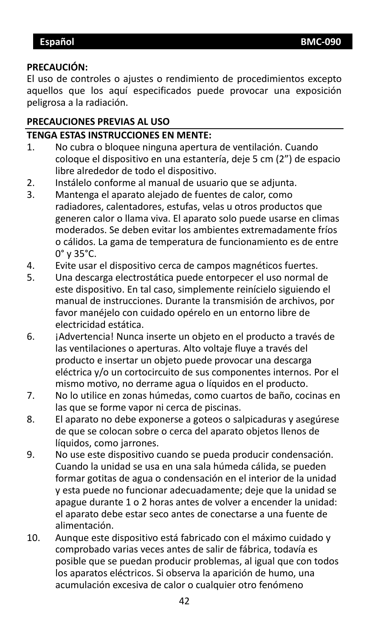#### <span id="page-41-0"></span>**PRECAUCIÓN:**

El uso de controles o ajustes o rendimiento de procedimientos excepto aquellos que los aquí especificados puede provocar una exposición peligrosa a la radiación.

#### **PRECAUCIONES PREVIAS AL USO**

#### **TENGA ESTAS INSTRUCCIONES EN MENTE:**

- 1. No cubra o bloquee ninguna apertura de ventilación. Cuando coloque el dispositivo en una estantería, deje 5 cm (2") de espacio libre alrededor de todo el dispositivo.
- 2. Instálelo conforme al manual de usuario que se adjunta.
- 3. Mantenga el aparato alejado de fuentes de calor, como radiadores, calentadores, estufas, velas u otros productos que generen calor o llama viva. El aparato solo puede usarse en climas moderados. Se deben evitar los ambientes extremadamente fríos o cálidos. La gama de temperatura de funcionamiento es de entre 0° y 35°C.
- 4. Evite usar el dispositivo cerca de campos magnéticos fuertes.
- 5. Una descarga electrostática puede entorpecer el uso normal de este dispositivo. En tal caso, simplemente reinícielo siguiendo el manual de instrucciones. Durante la transmisión de archivos, por favor manéjelo con cuidado opérelo en un entorno libre de electricidad estática.
- 6. ¡Advertencia! Nunca inserte un obieto en el producto a través de las ventilaciones o aperturas. Alto voltaje fluye a través del producto e insertar un objeto puede provocar una descarga eléctrica y/o un cortocircuito de sus componentes internos. Por el mismo motivo, no derrame agua o líquidos en el producto.
- 7. No lo utilice en zonas húmedas, como cuartos de baño, cocinas en las que se forme vapor ni cerca de piscinas.
- 8. El aparato no debe exponerse a goteos o salpicaduras y asegúrese de que se colocan sobre o cerca del aparato objetos llenos de líquidos, como jarrones.
- 9. No use este dispositivo cuando se pueda producir condensación. Cuando la unidad se usa en una sala húmeda cálida, se pueden formar gotitas de agua o condensación en el interior de la unidad y esta puede no funcionar adecuadamente; deje que la unidad se apague durante 1 o 2 horas antes de volver a encender la unidad: el aparato debe estar seco antes de conectarse a una fuente de alimentación.
- 10. Aunque este dispositivo está fabricado con el máximo cuidado y comprobado varias veces antes de salir de fábrica, todavía es posible que se puedan producir problemas, al igual que con todos los aparatos eléctricos. Si observa la aparición de humo, una acumulación excesiva de calor o cualquier otro fenómeno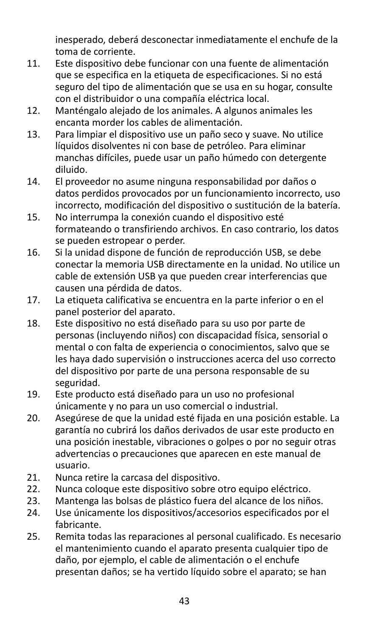inesperado, deberá desconectar inmediatamente el enchufe de la toma de corriente.

- 11. Este dispositivo debe funcionar con una fuente de alimentación que se especifica en la etiqueta de especificaciones. Si no está seguro del tipo de alimentación que se usa en su hogar, consulte con el distribuidor o una compañía eléctrica local.
- 12. Manténgalo alejado de los animales. A algunos animales les encanta morder los cables de alimentación.
- 13. Para limpiar el dispositivo use un paño seco y suave. No utilice líquidos disolventes ni con base de petróleo. Para eliminar manchas difíciles, puede usar un paño húmedo con detergente diluido.
- 14. El proveedor no asume ninguna responsabilidad por daños o datos perdidos provocados por un funcionamiento incorrecto, uso incorrecto, modificación del dispositivo o sustitución de la batería.
- 15. No interrumpa la conexión cuando el dispositivo esté formateando o transfiriendo archivos. En caso contrario, los datos se pueden estropear o perder.
- 16. Si la unidad dispone de función de reproducción USB, se debe conectar la memoria USB directamente en la unidad. No utilice un cable de extensión USB ya que pueden crear interferencias que causen una pérdida de datos.
- 17. La etiqueta calificativa se encuentra en la parte inferior o en el panel posterior del aparato.
- 18. Este dispositivo no está diseñado para su uso por parte de personas (incluyendo niños) con discapacidad física, sensorial o mental o con falta de experiencia o conocimientos, salvo que se les haya dado supervisión o instrucciones acerca del uso correcto del dispositivo por parte de una persona responsable de su seguridad.
- 19. Este producto está diseñado para un uso no profesional únicamente y no para un uso comercial o industrial.
- 20. Asegúrese de que la unidad esté fijada en una posición estable. La garantía no cubrirá los daños derivados de usar este producto en una posición inestable, vibraciones o golpes o por no seguir otras advertencias o precauciones que aparecen en este manual de usuario.
- 21. Nunca retire la carcasa del dispositivo.
- 22. Nunca coloque este dispositivo sobre otro equipo eléctrico.<br>23. Mantenga las bolsas de plástico fuera del alcance de los niño
- Mantenga las bolsas de plástico fuera del alcance de los niños.
- 24. Use únicamente los dispositivos/accesorios especificados por el fabricante.
- 25. Remita todas las reparaciones al personal cualificado. Es necesario el mantenimiento cuando el aparato presenta cualquier tipo de daño, por ejemplo, el cable de alimentación o el enchufe presentan daños; se ha vertido líquido sobre el aparato; se han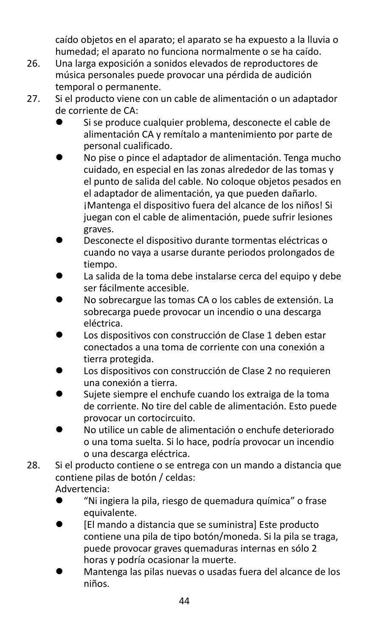caído objetos en el aparato; el aparato se ha expuesto a la lluvia o humedad; el aparato no funciona normalmente o se ha caído.

- 26. Una larga exposición a sonidos elevados de reproductores de música personales puede provocar una pérdida de audición temporal o permanente.
- 27. Si el producto viene con un cable de alimentación o un adaptador de corriente de CA:
	- ⚫ Si se produce cualquier problema, desconecte el cable de alimentación CA y remítalo a mantenimiento por parte de personal cualificado.
	- ⚫ No pise o pince el adaptador de alimentación. Tenga mucho cuidado, en especial en las zonas alrededor de las tomas y el punto de salida del cable. No coloque objetos pesados en el adaptador de alimentación, ya que pueden dañarlo. ¡Mantenga el dispositivo fuera del alcance de los niños! Si juegan con el cable de alimentación, puede sufrir lesiones graves.
	- ⚫ Desconecte el dispositivo durante tormentas eléctricas o cuando no vaya a usarse durante periodos prolongados de tiempo.
	- La salida de la toma debe instalarse cerca del equipo y debe ser fácilmente accesible.
	- ⚫ No sobrecargue las tomas CA o los cables de extensión. La sobrecarga puede provocar un incendio o una descarga eléctrica.
	- ⚫ Los dispositivos con construcción de Clase 1 deben estar conectados a una toma de corriente con una conexión a tierra protegida.
	- ⚫ Los dispositivos con construcción de Clase 2 no requieren una conexión a tierra.
	- ⚫ Sujete siempre el enchufe cuando los extraiga de la toma de corriente. No tire del cable de alimentación. Esto puede provocar un cortocircuito.
	- ⚫ No utilice un cable de alimentación o enchufe deteriorado o una toma suelta. Si lo hace, podría provocar un incendio o una descarga eléctrica.
- 28. Si el producto contiene o se entrega con un mando a distancia que contiene pilas de botón / celdas:

Advertencia:

- ⚫ "Ni ingiera la pila, riesgo de quemadura química" o frase equivalente.
- ⚫ [El mando a distancia que se suministra] Este producto contiene una pila de tipo botón/moneda. Si la pila se traga, puede provocar graves quemaduras internas en sólo 2 horas y podría ocasionar la muerte.
- ⚫ Mantenga las pilas nuevas o usadas fuera del alcance de los niños.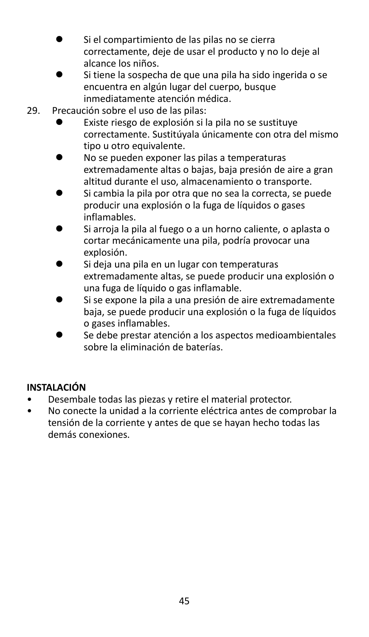- ⚫ Si el compartimiento de las pilas no se cierra correctamente, deje de usar el producto y no lo deje al alcance los niños.
- ⚫ Si tiene la sospecha de que una pila ha sido ingerida o se encuentra en algún lugar del cuerpo, busque inmediatamente atención médica.
- 29. Precaución sobre el uso de las pilas:
	- ⚫ Existe riesgo de explosión si la pila no se sustituye correctamente. Sustitúyala únicamente con otra del mismo tipo u otro equivalente.
	- ⚫ No se pueden exponer las pilas a temperaturas extremadamente altas o bajas, baja presión de aire a gran altitud durante el uso, almacenamiento o transporte.
	- ⚫ Si cambia la pila por otra que no sea la correcta, se puede producir una explosión o la fuga de líquidos o gases inflamables.
	- Si arroja la pila al fuego o a un horno caliente, o aplasta o cortar mecánicamente una pila, podría provocar una explosión.
	- ⚫ Si deja una pila en un lugar con temperaturas extremadamente altas, se puede producir una explosión o una fuga de líquido o gas inflamable.
	- ⚫ Si se expone la pila a una presión de aire extremadamente baja, se puede producir una explosión o la fuga de líquidos o gases inflamables.
	- ⚫ Se debe prestar atención a los aspectos medioambientales sobre la eliminación de baterías.

### **INSTALACIÓN**

- Desembale todas las piezas y retire el material protector.
- No conecte la unidad a la corriente eléctrica antes de comprobar la tensión de la corriente y antes de que se hayan hecho todas las demás conexiones.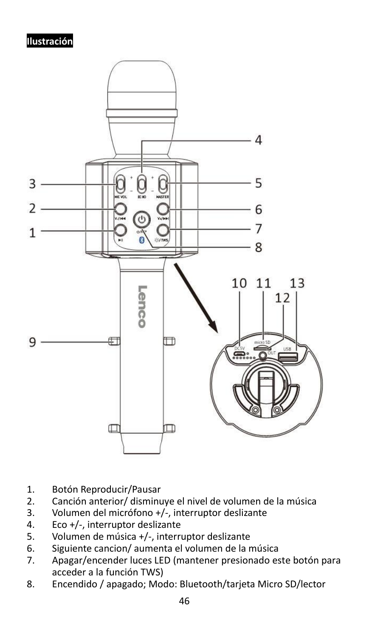# **Ilustración**



- 1. Botón Reproducir/Pausar<br>2. Canción anterior/ disminu
- 2. Canción anterior/ disminuye el nivel de volumen de la música
- 3. Volumen del micrófono +/-, interruptor deslizante
- 4. Eco  $+/-$ , interruptor deslizante<br>5. Volumen de música  $+/-$ , interru
- 5. Volumen de música +/-, interruptor deslizante
- 6. Siguiente cancion/ aumenta el volumen de la música
- 7. Apagar/encender luces LED (mantener presionado este botón para acceder a la función TWS)
- 8. Encendido / apagado; Modo: Bluetooth/tarjeta Micro SD/lector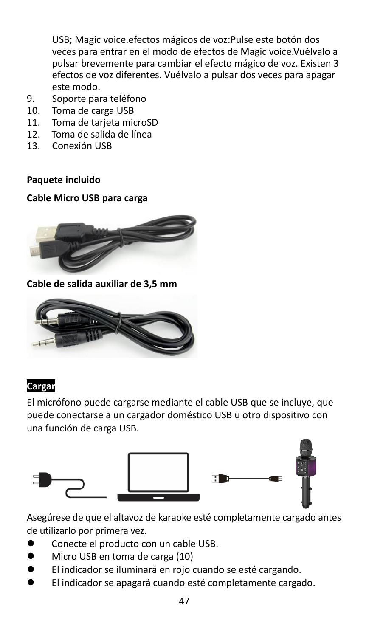USB; Magic voice.efectos mágicos de voz:Pulse este botón dos veces para entrar en el modo de efectos de Magic voice.Vuélvalo a pulsar brevemente para cambiar el efecto mágico de voz. Existen 3 efectos de voz diferentes. Vuélvalo a pulsar dos veces para apagar este modo.

- 9. Soporte para teléfono
- 10. Toma de carga USB
- 11. Toma de tarjeta microSD<br>12. Toma de salida de línea
- 12. Toma de salida de línea
- 13. Conexión USB

#### **Paquete incluido**

#### **Cable Micro USB para carga**



**Cable de salida auxiliar de 3,5 mm**



#### **Cargar**

El micrófono puede cargarse mediante el cable USB que se incluye, que puede conectarse a un cargador doméstico USB u otro dispositivo con una función de carga USB.



Asegúrese de que el altavoz de karaoke esté completamente cargado antes de utilizarlo por primera vez.

- ⚫ Conecte el producto con un cable USB.
- ⚫ Micro USB en toma de carga (10)
- ⚫ El indicador se iluminará en rojo cuando se esté cargando.
- ⚫ El indicador se apagará cuando esté completamente cargado.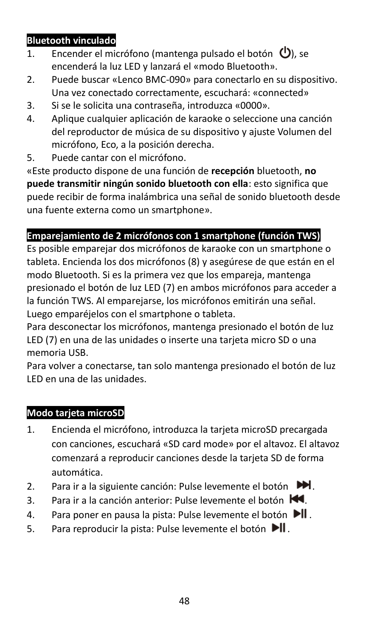### **Bluetooth vinculado**

- 1. Encender el micrófono (mantenga pulsado el botón  $\mathbf{\Theta}$ ), se encenderá la luz LED y lanzará el «modo Bluetooth».
- 2. Puede buscar «Lenco BMC-090» para conectarlo en su dispositivo. Una vez conectado correctamente, escuchará: «connected»
- 3. Si se le solicita una contraseña, introduzca «0000».
- 4. Aplique cualquier aplicación de karaoke o seleccione una canción del reproductor de música de su dispositivo y ajuste Volumen del micrófono, Eco, a la posición derecha.
- 5. Puede cantar con el micrófono.

«Este producto dispone de una función de **recepción** bluetooth, **no puede transmitir ningún sonido bluetooth con ella**: esto significa que puede recibir de forma inalámbrica una señal de sonido bluetooth desde una fuente externa como un smartphone».

# **Emparejamiento de 2 micrófonos con 1 smartphone (función TWS)**

Es posible emparejar dos micrófonos de karaoke con un smartphone o tableta. Encienda los dos micrófonos (8) y asegúrese de que están en el modo Bluetooth. Si es la primera vez que los empareja, mantenga presionado el botón de luz LED (7) en ambos micrófonos para acceder a la función TWS. Al emparejarse, los micrófonos emitirán una señal. Luego emparéjelos con el smartphone o tableta.

Para desconectar los micrófonos, mantenga presionado el botón de luz LED (7) en una de las unidades o inserte una tarjeta micro SD o una memoria USB.

Para volver a conectarse, tan solo mantenga presionado el botón de luz LED en una de las unidades.

# **Modo tarjeta microSD**

- 1. Encienda el micrófono, introduzca la tarjeta microSD precargada con canciones, escuchará «SD card mode» por el altavoz. El altavoz comenzará a reproducir canciones desde la tarjeta SD de forma automática.
- 2. Para ir a la siguiente canción: Pulse levemente el botón  $M$ .
- 3. Para ir a la canción anterior: Pulse levemente el botón  $\blacktriangleleft$ .
- 4. Para poner en pausa la pista: Pulse levemente el botón II.
- 5. Para reproducir la pista: Pulse levemente el botón II.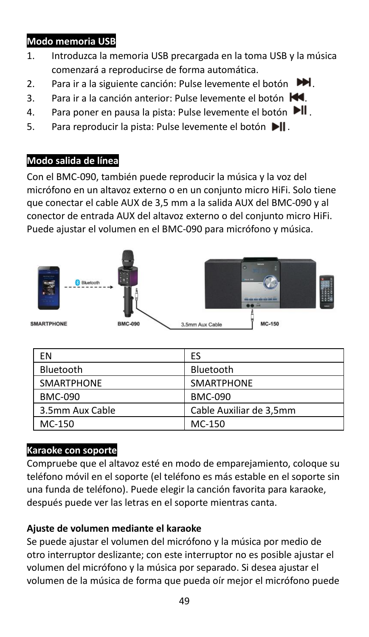# **Modo memoria USB**

- 1. Introduzca la memoria USB precargada en la toma USB y la música comenzará a reproducirse de forma automática.
- 2. Para ir a la siguiente canción: Pulse levemente el botón  $M$ .
- 3. Para ir a la canción anterior: Pulse levemente el botón  $\blacksquare$ .
- 4. Para poner en pausa la pista: Pulse levemente el botón  $\blacktriangleright$ ll.
- 5. Para reproducir la pista: Pulse levemente el botón ▶ II.

# **Modo salida de línea**

Con el BMC-090, también puede reproducir la música y la voz del micrófono en un altavoz externo o en un conjunto micro HiFi. Solo tiene que conectar el cable AUX de 3,5 mm a la salida AUX del BMC-090 y al conector de entrada AUX del altavoz externo o del conjunto micro HiFi. Puede ajustar el volumen en el BMC-090 para micrófono y música.



| ΕN                | ES                      |
|-------------------|-------------------------|
| Bluetooth         | Bluetooth               |
| <b>SMARTPHONE</b> | <b>SMARTPHONE</b>       |
| <b>BMC-090</b>    | <b>BMC-090</b>          |
| 3.5mm Aux Cable   | Cable Auxiliar de 3,5mm |
| MC-150            | MC-150                  |

# **Karaoke con soporte**

Compruebe que el altavoz esté en modo de emparejamiento, coloque su teléfono móvil en el soporte (el teléfono es más estable en el soporte sin una funda de teléfono). Puede elegir la canción favorita para karaoke, después puede ver las letras en el soporte mientras canta.

# **Ajuste de volumen mediante el karaoke**

Se puede ajustar el volumen del micrófono y la música por medio de otro interruptor deslizante; con este interruptor no es posible ajustar el volumen del micrófono y la música por separado. Si desea ajustar el volumen de la música de forma que pueda oír mejor el micrófono puede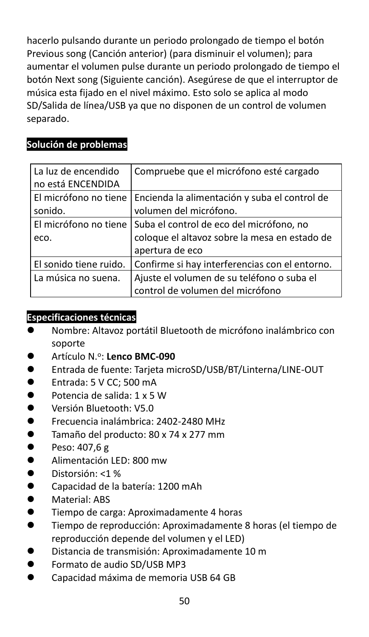hacerlo pulsando durante un periodo prolongado de tiempo el botón Previous song (Canción anterior) (para disminuir el volumen); para aumentar el volumen pulse durante un periodo prolongado de tiempo el botón Next song (Siguiente canción). Asegúrese de que el interruptor de música esta fijado en el nivel máximo. Esto solo se aplica al modo SD/Salida de línea/USB ya que no disponen de un control de volumen separado.

# **Solución de problemas**

| La luz de encendido<br>no está ENCENDIDA | Compruebe que el micrófono esté cargado                                                                      |
|------------------------------------------|--------------------------------------------------------------------------------------------------------------|
| El micrófono no tiene<br>sonido.         | Encienda la alimentación y suba el control de<br>volumen del micrófono.                                      |
| El micrófono no tiene<br>eco.            | Suba el control de eco del micrófono, no<br>coloque el altavoz sobre la mesa en estado de<br>apertura de eco |
| El sonido tiene ruido.                   | Confirme si hay interferencias con el entorno.                                                               |
| La música no suena.                      | Ajuste el volumen de su teléfono o suba el<br>control de volumen del micrófono                               |

### **Especificaciones técnicas**

- ⚫ Nombre: Altavoz portátil Bluetooth de micrófono inalámbrico con soporte
- Artículo N.º: Lenco BMC-090
- ⚫ Entrada de fuente: Tarjeta microSD/USB/BT/Linterna/LINE-OUT
- Entrada: 5 V CC: 500 mA
- ⚫ Potencia de salida: 1 x 5 W
- ⚫ Versión Bluetooth: V5.0
- ⚫ Frecuencia inalámbrica: 2402-2480 MHz
- ⚫ Tamaño del producto: 80 x 74 x 277 mm
- Peso: 407.6 g
- ⚫ Alimentación LED: 800 mw
- Distorsión: <1 %
- Capacidad de la batería: 1200 mAh
- ⚫ Material: ABS
- ⚫ Tiempo de carga: Aproximadamente 4 horas
- ⚫ Tiempo de reproducción: Aproximadamente 8 horas (el tiempo de reproducción depende del volumen y el LED)
- ⚫ Distancia de transmisión: Aproximadamente 10 m
- Formato de audio SD/USB MP3
- Capacidad máxima de memoria USB 64 GB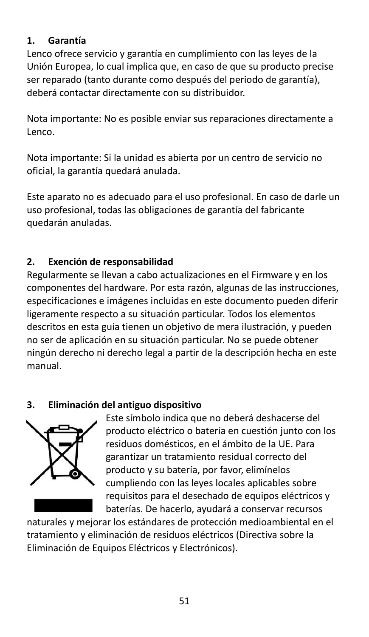# **1. Garantía**

Lenco ofrece servicio y garantía en cumplimiento con las leyes de la Unión Europea, lo cual implica que, en caso de que su producto precise ser reparado (tanto durante como después del periodo de garantía), deberá contactar directamente con su distribuidor.

Nota importante: No es posible enviar sus reparaciones directamente a Lenco.

Nota importante: Si la unidad es abierta por un centro de servicio no oficial, la garantía quedará anulada.

Este aparato no es adecuado para el uso profesional. En caso de darle un uso profesional, todas las obligaciones de garantía del fabricante quedarán anuladas.

# **2. Exención de responsabilidad**

Regularmente se llevan a cabo actualizaciones en el Firmware y en los componentes del hardware. Por esta razón, algunas de las instrucciones, especificaciones e imágenes incluidas en este documento pueden diferir ligeramente respecto a su situación particular. Todos los elementos descritos en esta guía tienen un objetivo de mera ilustración, y pueden no ser de aplicación en su situación particular. No se puede obtener ningún derecho ni derecho legal a partir de la descripción hecha en este manual.

# **3. Eliminación del antiguo dispositivo**



Este símbolo indica que no deberá deshacerse del producto eléctrico o batería en cuestión junto con los residuos domésticos, en el ámbito de la UE. Para garantizar un tratamiento residual correcto del producto y su batería, por favor, elimínelos cumpliendo con las leyes locales aplicables sobre requisitos para el desechado de equipos eléctricos y baterías. De hacerlo, ayudará a conservar recursos

naturales y mejorar los estándares de protección medioambiental en el tratamiento y eliminación de residuos eléctricos (Directiva sobre la Eliminación de Equipos Eléctricos y Electrónicos).